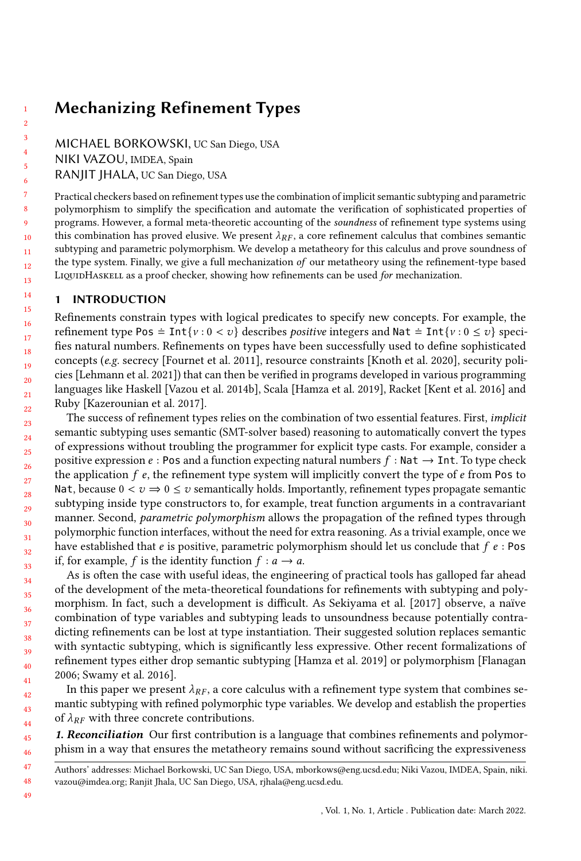# Mechanizing Refinement Types

MICHAEL BORKOWSKI, UC San Diego, USA

NIKI VAZOU, IMDEA, Spain

RANJIT JHALA, UC San Diego, USA

Practical checkers based on refinement types use the combination of implicit semantic subtyping and parametric polymorphism to simplify the specification and automate the verification of sophisticated properties of programs. However, a formal meta-theoretic accounting of the soundness of refinement type systems using this combination has proved elusive. We present  $\lambda_{RF}$ , a core refinement calculus that combines semantic subtyping and parametric polymorphism. We develop a metatheory for this calculus and prove soundness of the type system. Finally, we give a full mechanization of our metatheory using the refinement-type based LIQUIDHASKELL as a proof checker, showing how refinements can be used for mechanization.

## 1 INTRODUCTION

Refinements constrain types with logical predicates to specify new concepts. For example, the refinement type Pos =  $Int\{v : 0 < v\}$  describes *positive* integers and Nat =  $Int\{v : 0 \le v\}$  specifies natural numbers. Refinements on types have been successfully used to define sophisticated concepts (e.g. secrecy [\[Fournet et al.](#page-25-0) [2011\]](#page-25-0), resource constraints [\[Knoth et al.](#page-25-1) [2020\]](#page-25-1), security policies [\[Lehmann et al.](#page-25-2) [2021\]](#page-25-2)) that can then be verified in programs developed in various programming languages like Haskell [\[Vazou et al.](#page-26-0) [2014b\]](#page-26-0), Scala [\[Hamza et al.](#page-25-3) [2019\]](#page-25-3), Racket [\[Kent et al.](#page-25-4) [2016\]](#page-25-4) and Ruby [\[Kazerounian et al. 2017\]](#page-25-5).

The success of refinement types relies on the combination of two essential features. First, implicit semantic subtyping uses semantic (SMT-solver based) reasoning to automatically convert the types of expressions without troubling the programmer for explicit type casts. For example, consider a positive expression  $e : \text{Pos}$  and a function expecting natural numbers  $f : \text{Nat} \to \text{Int}$ . To type check the application  $f$  e, the refinement type system will implicitly convert the type of  $e$  from Pos to Nat, because  $0 < v \Rightarrow 0 \le v$  semantically holds. Importantly, refinement types propagate semantic subtyping inside type constructors to, for example, treat function arguments in a contravariant manner. Second, *parametric polymorphism* allows the propagation of the refined types through polymorphic function interfaces, without the need for extra reasoning. As a trivial example, once we have established that e is positive, parametric polymorphism should let us conclude that  $f e$ : Pos if, for example, f is the identity function  $f : a \rightarrow a$ .

As is often the case with useful ideas, the engineering of practical tools has galloped far ahead of the development of the meta-theoretical foundations for refinements with subtyping and polymorphism. In fact, such a development is difficult. As [Sekiyama et al.](#page-25-6) [\[2017\]](#page-25-6) observe, a naïve combination of type variables and subtyping leads to unsoundness because potentially contradicting refinements can be lost at type instantiation. Their suggested solution replaces semantic with syntactic subtyping, which is significantly less expressive. Other recent formalizations of refinement types either drop semantic subtyping [\[Hamza et al.](#page-25-3) [2019\]](#page-25-3) or polymorphism [\[Flanagan](#page-25-7) [2006;](#page-25-7) [Swamy et al. 2016\]](#page-26-1).

In this paper we present  $\lambda_{RF}$ , a core calculus with a refinement type system that combines semantic subtyping with refined polymorphic type variables. We develop and establish the properties of  $\lambda_{RF}$  with three concrete contributions.

45 46 1. Reconciliation Our first contribution is a language that combines refinements and polymorphism in a way that ensures the metatheory remains sound without sacrificing the expressiveness

, Vol. 1, No. 1, Article . Publication date: March 2022.

<sup>47</sup> 48 Authors' addresses: Michael Borkowski, UC San Diego, USA, mborkows@eng.ucsd.edu; Niki Vazou, IMDEA, Spain, niki. vazou@imdea.org; Ranjit Jhala, UC San Diego, USA, rjhala@eng.ucsd.edu.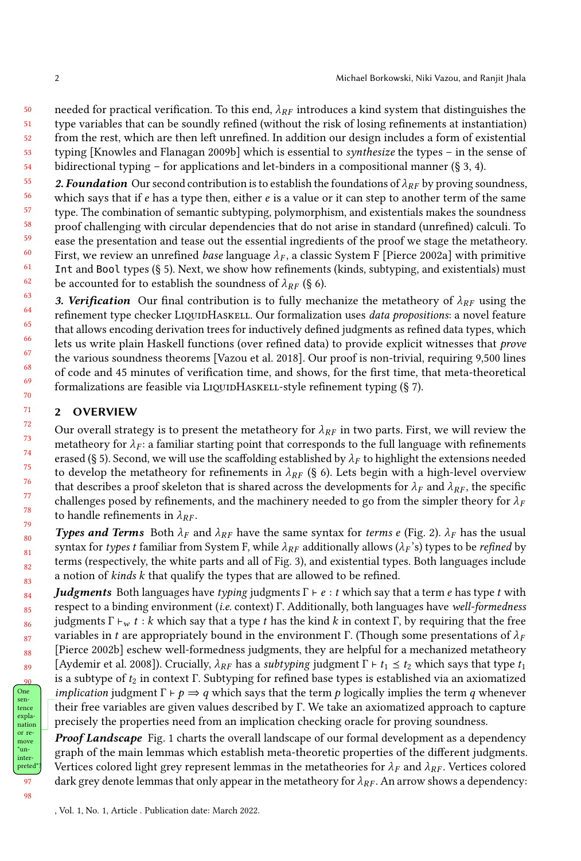50 51 needed for practical verification. To this end,  $\lambda_{RF}$  introduces a kind system that distinguishes the type variables that can be soundly refined (without the risk of losing refinements at instantiation)

- 52 from the rest, which are then left unrefined. In addition our design includes a form of existential
- 53 typing [\[Knowles and Flanagan 2009b\]](#page-25-8) which is essential to synthesize the types – in the sense of
- 54 bidirectional typing – for applications and let-binders in a compositional manner (§ [3,](#page-5-0) [4\)](#page-8-0).
- 55 56 57 58 59 60 61 62 2. Foundation Our second contribution is to establish the foundations of  $\lambda_{RF}$  by proving soundness, which says that if  $e$  has a type then, either  $e$  is a value or it can step to another term of the same type. The combination of semantic subtyping, polymorphism, and existentials makes the soundness proof challenging with circular dependencies that do not arise in standard (unrefined) calculi. To ease the presentation and tease out the essential ingredients of the proof we stage the metatheory. First, we review an unrefined base language  $\lambda_F$ , a classic System F [\[Pierce 2002a\]](#page-25-9) with primitive Int and Bool types (§ [5\)](#page-13-0). Next, we show how refinements (kinds, subtyping, and existentials) must be accounted for to establish the soundness of  $\lambda_{RF}$  (§ [6\)](#page-15-0).
- 63 64 65 66 67 68 69 70 3. Verification Our final contribution is to fully mechanize the metatheory of  $\lambda_{RF}$  using the refinement type checker LIQUIDHASKELL. Our formalization uses data propositions: a novel feature that allows encoding derivation trees for inductively defined judgments as refined data types, which lets us write plain Haskell functions (over refined data) to provide explicit witnesses that prove the various soundness theorems [\[Vazou et al.](#page-26-2) [2018\]](#page-26-2). Our proof is non-trivial, requiring 9,500 lines of code and 45 minutes of verification time, and shows, for the first time, that meta-theoretical formalizations are feasible via LIQUIDHASKELL-style refinement typing (§ [7\)](#page-17-0).

## 2 OVERVIEW

Our overall strategy is to present the metatheory for  $\lambda_{RF}$  in two parts. First, we will review the metatheory for  $\lambda_F$ : a familiar starting point that corresponds to the full language with refinements erased (§ [5\)](#page-13-0). Second, we will use the scaffolding established by  $\lambda_F$  to highlight the extensions needed to develop the metatheory for refinements in  $\lambda_{RF}$  (§ [6\)](#page-15-0). Lets begin with a high-level overview that describes a proof skeleton that is shared across the developments for  $\lambda_F$  and  $\lambda_{RF}$ , the specific challenges posed by refinements, and the machinery needed to go from the simpler theory for  $\lambda_F$ to handle refinements in  $\lambda_{RF}$ .

**Types and Terms** Both  $\lambda_F$  and  $\lambda_{RF}$  have the same syntax for terms e (Fig. [2\)](#page-5-1).  $\lambda_F$  has the usual syntax for types t familiar from System F, while  $\lambda_{RF}$  additionally allows ( $\lambda_F$ 's) types to be refined by terms (respectively, the white parts and all of Fig. [3\)](#page-7-0), and existential types. Both languages include a notion of kinds k that qualify the types that are allowed to be refined.

**Judgments** Both languages have typing judgments  $\Gamma \vdash e : t$  which say that a term e has type t with respect to a binding environment (i.e. context) Γ. Additionally, both languages have well-formedness judgments Γ  $⊢_ w t : k$  which say that a type t has the kind k in context Γ, by requiring that the free variables in t are appropriately bound in the environment Γ. (Though some presentations of  $\lambda_F$ [\[Pierce 2002b\]](#page-25-10) eschew well-formedness judgments, they are helpful for a mechanized metatheory [\[Aydemir et al.](#page-25-11) [2008\]](#page-25-11)). Crucially,  $\lambda_{RF}$  has a *subtyping* judgment  $\Gamma \vdash t_1 \leq t_2$  which says that type  $t_1$ is a subtype of  $t_2$  in context Γ. Subtyping for refined base types is established via an axiomatized *implication* judgment  $\Gamma \vdash p \Rightarrow q$  which says that the term p logically implies the term q whenever their free variables are given values described by Γ. We take an axiomatized approach to capture precisely the properties need from an implication checking oracle for proving soundness.

**Proof Landscape** Fig. [1](#page-2-0) charts the overall landscape of our formal development as a dependency graph of the main lemmas which establish meta-theoretic properties of the different judgments. Vertices colored light grey represent lemmas in the metatheories for  $\lambda_F$  and  $\lambda_{RF}$ . Vertices colored dark grey denote lemmas that only appear in the metatheory for  $\lambda_{RF}$ . An arrow shows a dependency: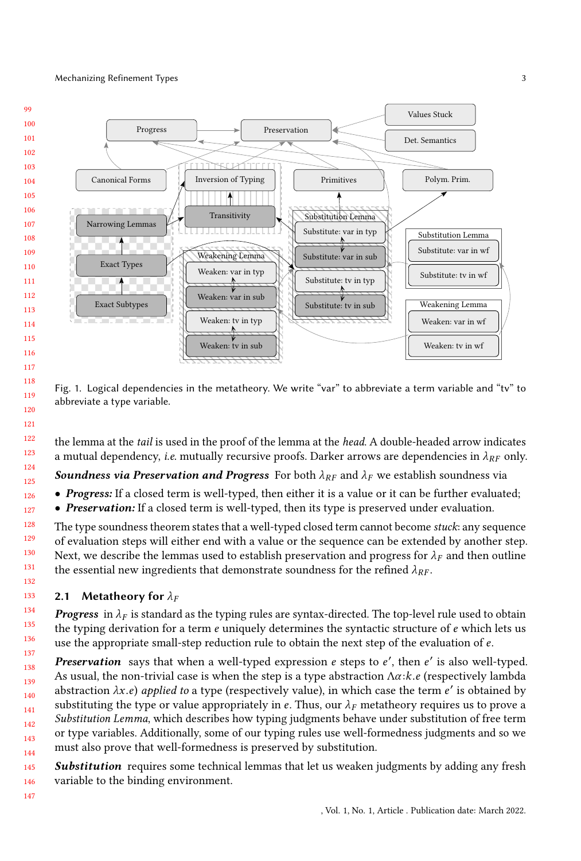### Mechanizing Refinement Types 3



<span id="page-2-0"></span>

Fig. 1. Logical dependencies in the metatheory. We write "var" to abbreviate a term variable and "tv" to abbreviate a type variable.

the lemma at the tail is used in the proof of the lemma at the head. A double-headed arrow indicates a mutual dependency, i.e. mutually recursive proofs. Darker arrows are dependencies in  $\lambda_{RF}$  only.

**Soundness via Preservation and Progress** For both  $\lambda_{RF}$  and  $\lambda_F$  we establish soundness via

- Progress: If a closed term is well-typed, then either it is a value or it can be further evaluated;
- Preservation: If a closed term is well-typed, then its type is preserved under evaluation.

The type soundness theorem states that a well-typed closed term cannot become stuck: any sequence of evaluation steps will either end with a value or the sequence can be extended by another step. Next, we describe the lemmas used to establish preservation and progress for  $\lambda_F$  and then outline the essential new ingredients that demonstrate soundness for the refined  $\lambda_{RF}$ .

## 2.1 Metatheory for  $\lambda_F$

**Progress** in  $\lambda_F$  is standard as the typing rules are syntax-directed. The top-level rule used to obtain the typing derivation for a term  $e$  uniquely determines the syntactic structure of  $e$  which lets us use the appropriate small-step reduction rule to obtain the next step of the evaluation of e.

139 140 141 142 143 144 Preservation says that when a well-typed expression e steps to e', then e' is also well-typed. As usual, the non-trivial case is when the step is a type abstraction  $\Lambda \alpha$ : $k.e$  (respectively lambda abstraction  $\lambda x.e$ ) applied to a type (respectively value), in which case the term e' is obtained by substituting the type or value appropriately in e. Thus, our  $\lambda$  metatheory requires us to prove a substituting the type or value appropriately in e. Thus, our  $\lambda_F$  metatheory requires us to prove a Substitution Lemma, which describes how typing judgments behave under substitution of free term or type variables. Additionally, some of our typing rules use well-formedness judgments and so we must also prove that well-formedness is preserved by substitution.

145 146 Substitution requires some technical lemmas that let us weaken judgments by adding any fresh variable to the binding environment.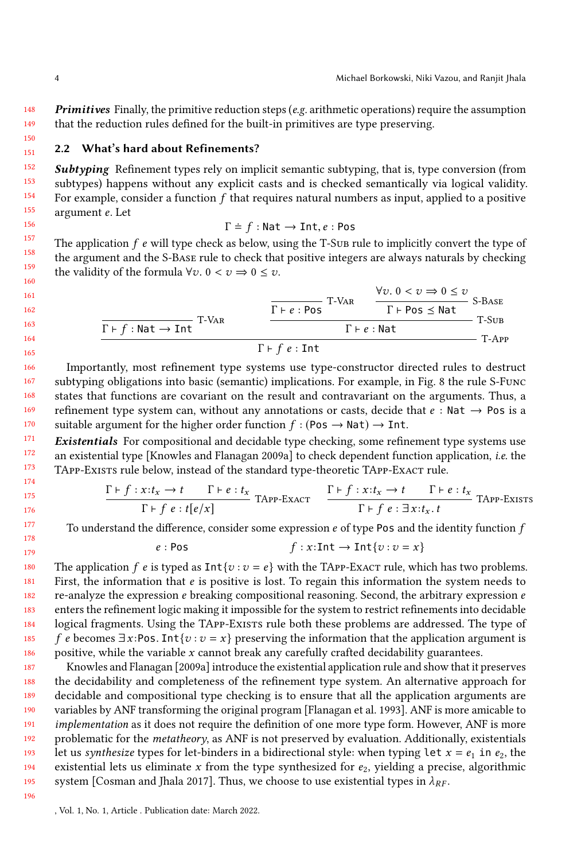148 149 **Primitives** Finally, the primitive reduction steps ( $e.g.$  arithmetic operations) require the assumption that the reduction rules defined for the built-in primitives are type preserving.

#### <span id="page-3-0"></span>151 2.2 What's hard about Refinements?

152 153 154 155 **Subtyping** Refinement types rely on implicit semantic subtyping, that is, type conversion (from subtypes) happens without any explicit casts and is checked semantically via logical validity. For example, consider a function  $f$  that requires natural numbers as input, applied to a positive argument e. Let

$$
\Gamma \doteq f : \mathsf{Nat} \to \mathsf{Int}, e : \mathsf{Pos}
$$

 $\Gamma = f : \text{Nat} \to \text{Int}, e : \text{Pos}$ <br>The application  $f$  e will type check as below, using the T-Sub rule to implicitly convert the type of the argument and the S-Base rule to check that positive integers are always naturals by checking the validity of the formula  $\forall v. 0 < v \Rightarrow 0 \leq v$ .

$$
\frac{\frac{\forall v. 0 < v \Rightarrow 0 \le v}{\Gamma \vdash \rho s \text{ s.} \text{Base}}}{\frac{\Gamma \vdash f : \text{Nat} \rightarrow \text{Int}}{\Gamma \vdash f \cdot \text{Rat}}} \cdot \frac{\frac{\forall v. 0 < v \Rightarrow 0 \le v}{\Gamma \vdash \text{Pos} \le \text{Nat}}}{\Gamma \vdash e : \text{Nat}} \cdot \frac{\text{S-Base}}{\Gamma \vdash e : \text{Rat}}}
$$

166 167 168 169 170 Importantly, most refinement type systems use type-constructor directed rules to destruct subtyping obligations into basic (semantic) implications. For example, in Fig. [8](#page-14-0) the rule S-Func states that functions are covariant on the result and contravariant on the arguments. Thus, a refinement type system can, without any annotations or casts, decide that  $e : \mathsf{Nat} \to \mathsf{Pos}$  is a suitable argument for the higher order function  $f : (\text{Pos} \to \text{Nat}) \to \text{Int}.$ 

171 172 173 174 Existentials For compositional and decidable type checking, some refinement type systems use an existential type [\[Knowles and Flanagan 2009a\]](#page-25-12) to check dependent function application, i.e. the TAPP-Exists rule below, instead of the standard type-theoretic TAPP-ExACT rule.

$$
\frac{\Gamma \vdash f : x : t_x \to t \qquad \Gamma \vdash e : t_x}{\Gamma \vdash f e : t[e/x]} \quad \text{TAPP-Exact} \quad \frac{\Gamma \vdash f : x : t_x \to t \qquad \Gamma \vdash e : t_x}{\Gamma \vdash f e : \exists x : t_x \ldots t} \quad \text{TAPP-Exisrs}
$$

To understand the difference, consider some expression  $e$  of type Pos and the identity function  $f$ 

 $e : \text{Pos}$  f :  $x : \text{Int} \to \text{Int}\{v : v = x\}$ 

180 181 182 183 184 185 186 The application f e is typed as  $Int\{v : v = e\}$  with the TAPP-Exact rule, which has two problems. First, the information that  $e$  is positive is lost. To regain this information the system needs to re-analyze the expression  $e$  breaking compositional reasoning. Second, the arbitrary expression  $e$ enters the refinement logic making it impossible for the system to restrict refinements into decidable logical fragments. Using the TAPP-Exists rule both these problems are addressed. The type of f e becomes  $\exists x : \text{Pos}. \text{Int} \{v : v = x\}$  preserving the information that the application argument is positive, while the variable  $x$  cannot break any carefully crafted decidability guarantees.

187 188 189 190 191 192 193 194 195 [Knowles and Flanagan](#page-25-12) [\[2009a\]](#page-25-12) introduce the existential application rule and show that it preserves the decidability and completeness of the refinement type system. An alternative approach for decidable and compositional type checking is to ensure that all the application arguments are variables by ANF transforming the original program [\[Flanagan et al.](#page-25-13) [1993\]](#page-25-13). ANF is more amicable to implementation as it does not require the definition of one more type form. However, ANF is more problematic for the metatheory, as ANF is not preserved by evaluation. Additionally, existentials let us synthesize types for let-binders in a bidirectional style: when typing let  $x = e_1$  in  $e_2$ , the existential lets us eliminate x from the type synthesized for  $e_2$ , yielding a precise, algorithmic system [\[Cosman and Jhala 2017\]](#page-25-14). Thus, we choose to use existential types in  $\lambda_{RF}$ .

196

150

<sup>,</sup> Vol. 1, No. 1, Article . Publication date: March 2022.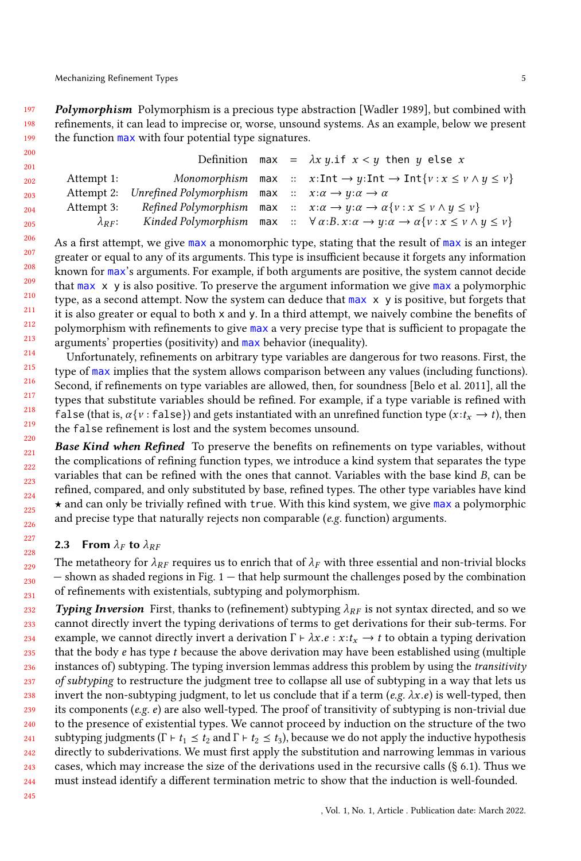197 198 199 Polymorphism Polymorphism is a precious type abstraction [\[Wadler 1989\]](#page-26-3), but combined with refinements, it can lead to imprecise or, worse, unsound systems. As an example, below we present the function max with four potential type signatures.

| 200 |                  |                                                                                            |  |                                                                                                                                                             |
|-----|------------------|--------------------------------------------------------------------------------------------|--|-------------------------------------------------------------------------------------------------------------------------------------------------------------|
| 201 |                  |                                                                                            |  | Definition max = $\lambda x \, y$ if $x < y$ then y else x                                                                                                  |
| 202 | Attempt 1:       |                                                                                            |  | Monomorphism max :: $x:\text{Int} \to y:\text{Int} \to \text{Int}\{v:x \leq v \land y \leq v\}$                                                             |
| 203 | Attempt 2:       | Unrefined Polymorphism max $\therefore$ $x:\alpha \rightarrow y:\alpha \rightarrow \alpha$ |  |                                                                                                                                                             |
| 204 | Attempt 3:       |                                                                                            |  | Refined Polymorphism max $\therefore x : \alpha \rightarrow y : \alpha \rightarrow \alpha \{v : x \leq v \land y \leq v\}$                                  |
| 205 | $\lambda_{RF}$ : |                                                                                            |  | Kinded Polymorphism max $\therefore$ $\forall \alpha : B. \ x : \alpha \rightarrow \gamma : \alpha \rightarrow \alpha \{v : x \leq v \land \gamma \leq v\}$ |
|     |                  |                                                                                            |  |                                                                                                                                                             |

206 207 208 209 210 211 212 213 As a first attempt, we give max a monomorphic type, stating that the result of max is an integer greater or equal to any of its arguments. This type is insufficient because it forgets any information known for max's arguments. For example, if both arguments are positive, the system cannot decide that  $max \ x$  y is also positive. To preserve the argument information we give  $max$  a polymorphic type, as a second attempt. Now the system can deduce that max x y is positive, but forgets that it is also greater or equal to both x and y. In a third attempt, we naively combine the benefits of polymorphism with refinements to give max a very precise type that is sufficient to propagate the arguments' properties (positivity) and max behavior (inequality).

214 215 216 217 218 219 220 Unfortunately, refinements on arbitrary type variables are dangerous for two reasons. First, the type of max implies that the system allows comparison between any values (including functions). Second, if refinements on type variables are allowed, then, for soundness [\[Belo et al.](#page-25-15) [2011\]](#page-25-15), all the types that substitute variables should be refined. For example, if a type variable is refined with false (that is,  $\alpha \{v : \text{false}\}\$ ) and gets instantiated with an unrefined function type  $(x : t_x \rightarrow t)$ , then the false refinement is lost and the system becomes unsound.

221 222 223 224 225 226 **Base Kind when Refined** To preserve the benefits on refinements on type variables, without the complications of refining function types, we introduce a kind system that separates the type variables that can be refined with the ones that cannot. Variables with the base kind B, can be refined, compared, and only substituted by base, refined types. The other type variables have kind  $\star$  and can only be trivially refined with true. With this kind system, we give max a polymorphic and precise type that naturally rejects non comparable (e.g. function) arguments.

### <span id="page-4-0"></span>2.3 From  $\lambda_F$  to  $\lambda_{RF}$

229 230 231 The metatheory for  $\lambda_{RF}$  requires us to enrich that of  $\lambda_F$  with three essential and non-trivial blocks  $-$  shown as shaded regions in Fig.  $1$   $-$  that help surmount the challenges posed by the combination of refinements with existentials, subtyping and polymorphism.

232 233 234 235 236 237 238 239 240 241 242 243 244 **Typing Inversion** First, thanks to (refinement) subtyping  $\lambda_{RF}$  is not syntax directed, and so we cannot directly invert the typing derivations of terms to get derivations for their sub-terms. For example, we cannot directly invert a derivation  $\Gamma \vdash \lambda x.e : x : t_x \rightarrow t$  to obtain a typing derivation that the body  $e$  has type  $t$  because the above derivation may have been established using (multiple instances of) subtyping. The typing inversion lemmas address this problem by using the *transitivity* of subtyping to restructure the judgment tree to collapse all use of subtyping in a way that lets us invert the non-subtyping judgment, to let us conclude that if a term (e.g.  $\lambda x.e$ ) is well-typed, then its components (e.g. e) are also well-typed. The proof of transitivity of subtyping is non-trivial due to the presence of existential types. We cannot proceed by induction on the structure of the two subtyping judgments ( $\Gamma \vdash t_1 \leq t_2$  and  $\Gamma \vdash t_2 \leq t_3$ ), because we do not apply the inductive hypothesis directly to subderivations. We must first apply the substitution and narrowing lemmas in various cases, which may increase the size of the derivations used in the recursive calls (§ [6.1\)](#page-16-0). Thus we must instead identify a different termination metric to show that the induction is well-founded.

245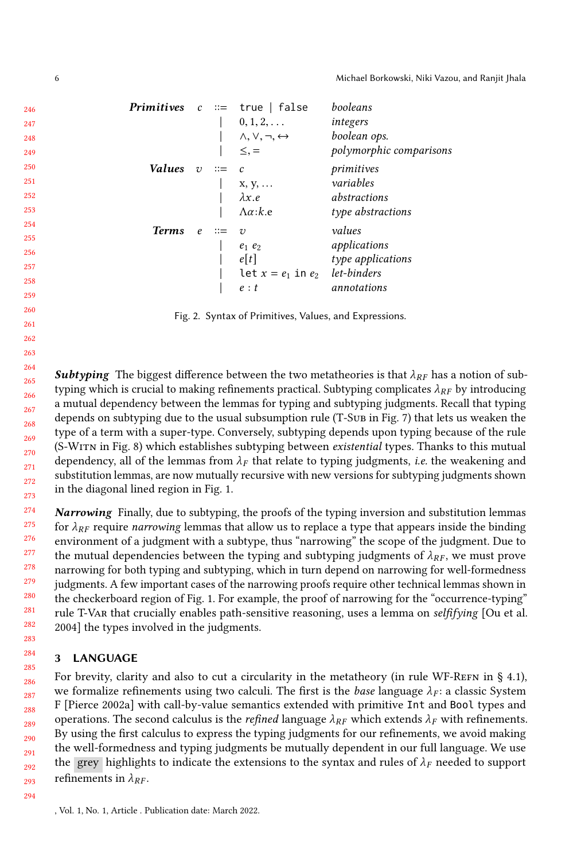<span id="page-5-1"></span>

|               |            |                       | <b>Primitives</b> $c ::= true   false$ | booleans                |
|---------------|------------|-----------------------|----------------------------------------|-------------------------|
|               |            |                       | $0, 1, 2, \ldots$                      | integers                |
|               |            |                       | $\wedge, \vee, \neg, \leftrightarrow$  | boolean ops.            |
|               |            |                       | $\leq$ , $=$                           | polymorphic comparisons |
| <i>Values</i> | $\upsilon$ | $\mathrel{\mathop:}=$ | c                                      | primitives              |
|               |            |                       | $X, Y, \ldots$                         | variables               |
|               |            |                       | $\lambda x.e$                          | abstractions            |
|               |            |                       | $\Lambda \alpha$ :k.e                  | type abstractions       |
| <b>Terms</b>  | $\epsilon$ |                       | $\mathcal{D}$                          | values                  |
|               |            |                       | $e_1$ $e_2$                            | applications            |
|               |            |                       | e[t]                                   | type applications       |
|               |            |                       | let $x = e_1$ in $e_2$                 | let-binders             |
|               |            |                       | e : t                                  | annotations             |
|               |            |                       |                                        |                         |

Fig. 2. Syntax of Primitives, Values, and Expressions.

264 265 266 267 268 269 270 271 272 273 **Subtyping** The biggest difference between the two metatheories is that  $\lambda_{RF}$  has a notion of subtyping which is crucial to making refinements practical. Subtyping complicates  $\lambda_{RF}$  by introducing a mutual dependency between the lemmas for typing and subtyping judgments. Recall that typing depends on subtyping due to the usual subsumption rule (T-Sub in Fig. [7\)](#page-11-0) that lets us weaken the type of a term with a super-type. Conversely, subtyping depends upon typing because of the rule (S-Witn in Fig. [8\)](#page-14-0) which establishes subtyping between existential types. Thanks to this mutual dependency, all of the lemmas from  $\lambda_F$  that relate to typing judgments, *i.e.* the weakening and substitution lemmas, are now mutually recursive with new versions for subtyping judgments shown in the diagonal lined region in Fig. [1.](#page-2-0)

274 275 276 277 278 279 280 281 282 **Narrowing** Finally, due to subtyping, the proofs of the typing inversion and substitution lemmas for  $\lambda_{RF}$  require narrowing lemmas that allow us to replace a type that appears inside the binding environment of a judgment with a subtype, thus "narrowing" the scope of the judgment. Due to the mutual dependencies between the typing and subtyping judgments of  $\lambda_{RF}$ , we must prove narrowing for both typing and subtyping, which in turn depend on narrowing for well-formedness judgments. A few important cases of the narrowing proofs require other technical lemmas shown in the checkerboard region of Fig. [1.](#page-2-0) For example, the proof of narrowing for the "occurrence-typing" rule T-Var that crucially enables path-sensitive reasoning, uses a lemma on selfifying [\[Ou et al.](#page-25-16) [2004\]](#page-25-16) the types involved in the judgments.

## <span id="page-5-0"></span>3 LANGUAGE

For brevity, clarity and also to cut a circularity in the metatheory (in rule WF-REFN in  $\S$  [4.1\)](#page-9-0), we formalize refinements using two calculi. The first is the *base* language  $\lambda_F$ : a classic System F [\[Pierce 2002a\]](#page-25-9) with call-by-value semantics extended with primitive Int and Bool types and operations. The second calculus is the *refined* language  $\lambda_{RF}$  which extends  $\lambda_F$  with refinements. By using the first calculus to express the typing judgments for our refinements, we avoid making the well-formedness and typing judgments be mutually dependent in our full language. We use the grey highlights to indicate the extensions to the syntax and rules of  $\lambda_F$  needed to support refinements in  $\lambda_{RF}$ .

, Vol. 1, No. 1, Article . Publication date: March 2022.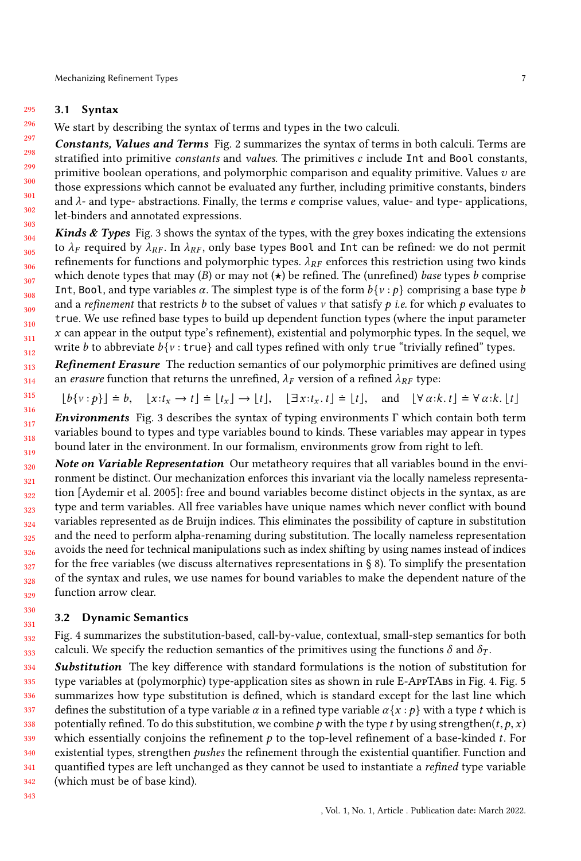#### 295 3.1 Syntax

296 We start by describing the syntax of terms and types in the two calculi.

297 298 299 300 301 302 303 Constants, Values and Terms Fig. [2](#page-5-1) summarizes the syntax of terms in both calculi. Terms are stratified into primitive *constants* and *values*. The primitives  $c$  include  $Int$  and Bool constants, primitive boolean operations, and polymorphic comparison and equality primitive. Values  $v$  are those expressions which cannot be evaluated any further, including primitive constants, binders and  $\lambda$ - and type- abstractions. Finally, the terms e comprise values, value- and type- applications, let-binders and annotated expressions.

304 305 306 307 308 309 310 311 312 **Kinds & Types** Fig. [3](#page-7-0) shows the syntax of the types, with the grey boxes indicating the extensions to  $\lambda_F$  required by  $\lambda_{RF}$ . In  $\lambda_{RF}$ , only base types Bool and Int can be refined: we do not permit refinements for functions and polymorphic types.  $\lambda_{RF}$  enforces this restriction using two kinds which denote types that may (B) or may not  $\star$ ) be refined. The (unrefined) base types b comprise Int, Bool, and type variables  $\alpha$ . The simplest type is of the form  $b\{v : p\}$  comprising a base type b and a *refinement* that restricts b to the subset of values v that satisfy p *i.e.* for which p evaluates to true. We use refined base types to build up dependent function types (where the input parameter  $x$  can appear in the output type's refinement), existential and polymorphic types. In the sequel, we write b to abbreviate  $b\{v : \text{true}\}\$  and call types refined with only true "trivially refined" types.

313 314 Refinement Erasure The reduction semantics of our polymorphic primitives are defined using an *erasure* function that returns the unrefined,  $\lambda_F$  version of a refined  $\lambda_{RF}$  type:

$$
\lfloor b\{v:p\}\rfloor = b, \quad \lfloor x:t_x \to t\rfloor = \lfloor t_x \rfloor \to \lfloor t\rfloor, \quad \lfloor \exists x:t_x, t\rfloor = \lfloor t\rfloor, \quad \text{and} \quad \lfloor \forall \alpha:k, t\rfloor = \forall \alpha:k, \lfloor t\rfloor
$$

316 317 318 319 **Environments** Fig. [3](#page-7-0) describes the syntax of typing environments  $\Gamma$  which contain both term variables bound to types and type variables bound to kinds. These variables may appear in types bound later in the environment. In our formalism, environments grow from right to left.

320 321 322 323 324 325 326 327 328 320 Note on Variable Representation Our metatheory requires that all variables bound in the environment be distinct. Our mechanization enforces this invariant via the locally nameless representation [\[Aydemir et al.](#page-25-17) [2005\]](#page-25-17): free and bound variables become distinct objects in the syntax, as are type and term variables. All free variables have unique names which never conflict with bound variables represented as de Bruijn indices. This eliminates the possibility of capture in substitution and the need to perform alpha-renaming during substitution. The locally nameless representation avoids the need for technical manipulations such as index shifting by using names instead of indices for the free variables (we discuss alternatives representations in § [8\)](#page-22-0). To simplify the presentation of the syntax and rules, we use names for bound variables to make the dependent nature of the function arrow clear.

### 3.2 Dynamic Semantics

332 333 Fig. [4](#page-7-1) summarizes the substitution-based, call-by-value, contextual, small-step semantics for both calculi. We specify the reduction semantics of the primitives using the functions  $\delta$  and  $\delta_T$ .

334 335 336 337 338 339 340 341 342 Substitution The key difference with standard formulations is the notion of substitution for type variables at (polymorphic) type-application sites as shown in rule E-AppTAbs in Fig. [4.](#page-7-1) Fig. [5](#page-8-1) summarizes how type substitution is defined, which is standard except for the last line which defines the substitution of a type variable  $\alpha$  in a refined type variable  $\alpha\{x : p\}$  with a type t which is potentially refined. To do this substitution, we combine p with the type t by using strengthen $(t, p, x)$ which essentially conjoins the refinement  $p$  to the top-level refinement of a base-kinded  $t$ . For existential types, strengthen pushes the refinement through the existential quantifier. Function and quantified types are left unchanged as they cannot be used to instantiate a refined type variable (which must be of base kind).

343

330 331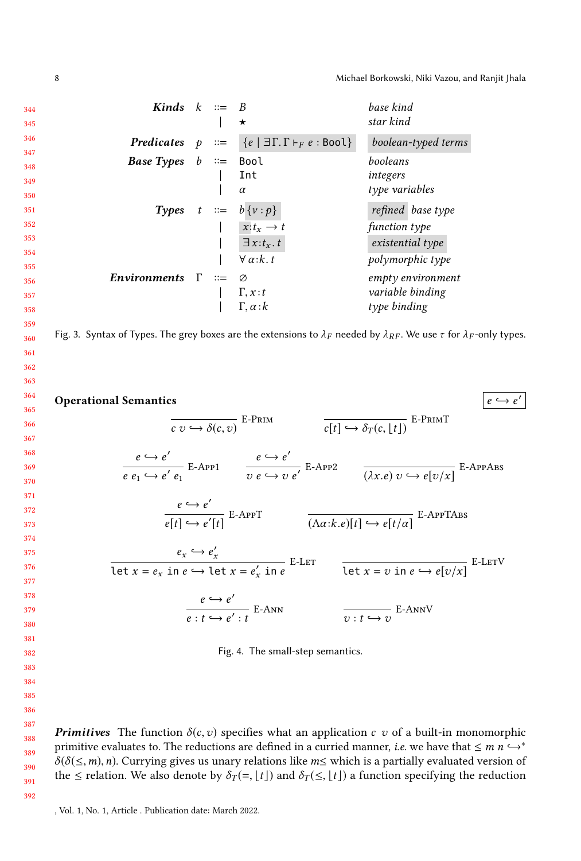8 Michael Borkowski, Niki Vazou, and Ranjit Jhala

<span id="page-7-0"></span>

| <b>Predicates</b> $p ::= \{e   \exists \Gamma. \Gamma \vdash_F e : \text{Bool}\}\$ | boolean-typed terms |
|------------------------------------------------------------------------------------|---------------------|
| <i>Base Types</i> $b ::=$ Bool                                                     | booleans            |
| Int                                                                                | integers            |
| $\alpha$                                                                           | type variables      |
| <b>Types</b> $t := b\{v : p\}$                                                     | refined base type   |
| $\vert \quad x:t_x\rightarrow t$                                                   | function type       |
| $\exists x:t_{x}.t$                                                                | existential type    |
| $\forall \alpha: k.t$                                                              | polymorphic type    |
| <i>Environments</i> $\Gamma ::= \emptyset$                                         | empty environment   |
| $\Gamma, x : t$                                                                    | variable binding    |
| $\Gamma, \alpha: k$                                                                | type binding        |
|                                                                                    |                     |

<span id="page-7-1"></span>364 365 366 367 368 369 370 371 372 373 374 375 376 377 378 379 380 381 382 Operational Semantics  $e \hookrightarrow e'$  $\overline{c\ v \hookrightarrow \delta(c,v)}$  E-Prim  $\overline{c[t] \hookrightarrow \delta_T(c, \lfloor t \rfloor)}$  E-PrimT  $e \hookrightarrow e'$  $\frac{e \hookrightarrow e'}{e \cdot e_1 \hookrightarrow e' \cdot e_1}$  E-App1  $\qquad \frac{e \hookrightarrow e'}{v \cdot e \hookrightarrow v}$  $\overline{v e \leftrightarrow v e'}$  E-App2  $\overline{(\lambda x.e) v \leftrightarrow e[v/x]}$  E-AppABS  $e \hookrightarrow e'$  $\overline{e[t] \hookrightarrow e'[t]}$  E-AppT  $\overline{(\Lambda \alpha:k.e)[t]} \hookrightarrow e[t/\alpha]$ <sup>E-AppTABS</sup>  $e_x \hookrightarrow e'_x$ Let  $x = e_x$  in  $e \hookrightarrow$  let  $x = e'_x$  in  $e$ <br>Let  $x = v$  in  $e \hookrightarrow e[v/x]$ <br>Let  $x = v$  in  $e \hookrightarrow e[v/x]$  $e \hookrightarrow e'$  $e: t \hookrightarrow e': t$ <sup>E-Ann</sup>  $\overline{v : t \hookrightarrow v}$  E-AnnV Fig. 4. The small-step semantics.

**Primitives** The function  $\delta(c, v)$  specifies what an application c v of a built-in monomorphic primitive evaluates to. The reductions are defined in a curried manner, *i.e.* we have that  $\leq m n \hookrightarrow^*$  $\delta(\delta(\leq,m),n)$ . Currying gives us unary relations like m≤ which is a partially evaluated version of the  $\le$  relation. We also denote by  $\delta_T (= \lfloor t \rfloor)$  and  $\delta_T(\le, \lfloor t \rfloor)$  a function specifying the reduction

388 389 390

391 392

, Vol. 1, No. 1, Article . Publication date: March 2022.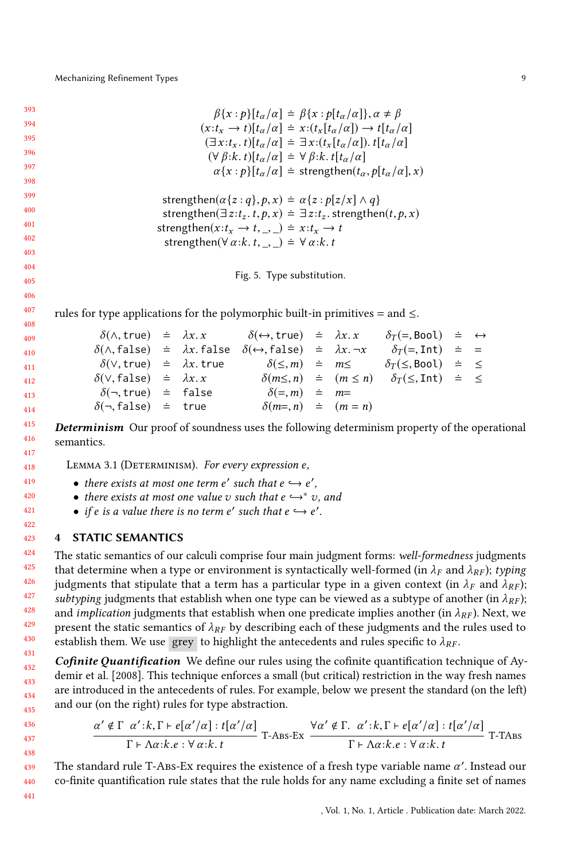<span id="page-8-1"></span>

| 393  | $\beta\{x:\rho\}\left[t_{\alpha}/\alpha\right]\doteq\beta\{x:\rho\left[t_{\alpha}/\alpha\right]\},\alpha\neq\beta$ |
|------|--------------------------------------------------------------------------------------------------------------------|
| 394  | $(x:t_r \rightarrow t)[t_{\alpha}/\alpha] \doteq x:(t_r[t_{\alpha}/\alpha]) \rightarrow t[t_{\alpha}/\alpha]$      |
| 395  | $(\exists x : t_x. t)  t_\alpha/\alpha  = \exists x : (t_x  t_\alpha/\alpha ). t  t_\alpha/\alpha $                |
| 396  | $(\forall \beta:k. t)[t_{\alpha}/\alpha] \doteq \forall \beta:k. t[t_{\alpha}/\alpha]$                             |
| 397  | $\alpha\{x:\rho\}\left[t_{\alpha}/\alpha\right] \doteq$ strengthen $(t_{\alpha},p[t_{\alpha}/\alpha],x)$           |
| 398  |                                                                                                                    |
| -399 |                                                                                                                    |

```
strengthen(\alpha\{z:q\},p,x) = \alpha\{z:p|z/x|\wedge q\}strengthen(\exists z: t_z. t, p, x) = \exists z: t_z. strengthen(t, p, x)
strengthen(x : t_x \rightarrow t, \ldots) \doteq x : t_x \rightarrow tstrengthen(\forall \alpha : k. t, , \rangle \doteq \forall \alpha : k. t
```
Fig. 5. Type substitution.

rules for type applications for the polymorphic built-in primitives = and  $\leq$ .

| 99              |                                                 |  | $\delta(\wedge, \text{true}) \doteq \lambda x. x \qquad \delta(\leftrightarrow, \text{true}) \doteq \lambda x. x \qquad \delta_T(\Rightarrow, \text{Bool}) \doteq \leftrightarrow$ |  |                                                                                    |  |
|-----------------|-------------------------------------------------|--|------------------------------------------------------------------------------------------------------------------------------------------------------------------------------------|--|------------------------------------------------------------------------------------|--|
| 10 <sup>1</sup> | $\delta(\wedge, false)$ = $\lambda x$ . false   |  | $\delta(\leftrightarrow, \text{false})$ = $\lambda x. \neg x$ $\delta_T (=, \text{Int})$ = =                                                                                       |  |                                                                                    |  |
| 11 <sup>1</sup> | $\delta(\vee, \text{true})$ = $\lambda x.$ true |  | $\delta(\leq,m) \cong m \leq \delta_T(\leq,\text{Bool}) \cong \leq$                                                                                                                |  |                                                                                    |  |
| 12 <sup>2</sup> | $\delta(\vee, false) = \lambda x. x$            |  |                                                                                                                                                                                    |  | $\delta(m \leq, n) \doteq (m \leq n) \quad \delta_T(\leq, \text{Int}) \doteq \leq$ |  |
| 13 <sup>1</sup> | $\delta(\neg, true)$ = false                    |  | $\delta (=,m) \doteq m =$                                                                                                                                                          |  |                                                                                    |  |
| 14 <sup>°</sup> | $\delta(\neg, false)$ = true                    |  | $\delta(m=,n) \doteq (m=n)$                                                                                                                                                        |  |                                                                                    |  |
|                 |                                                 |  |                                                                                                                                                                                    |  |                                                                                    |  |

415 416 417 **Determinism** Our proof of soundness uses the following determinism property of the operational semantics.

<span id="page-8-2"></span>LEMMA 3.1 (DETERMINISM). For every expression  $e$ ,

- there exists at most one term e' such that  $e \hookrightarrow e'$ ,<br>• there exists at most one value z, such that  $e \hookrightarrow^* z$
- there exists at most one value v such that  $e \hookrightarrow^* v$ , and
- if e is a value there is no term  $e'$  such that  $e \hookrightarrow e'$ .

### <span id="page-8-0"></span>4 STATIC SEMANTICS

The static semantics of our calculi comprise four main judgment forms: well-formedness judgments that determine when a type or environment is syntactically well-formed (in  $\lambda_F$  and  $\lambda_{RF}$ ); typing judgments that stipulate that a term has a particular type in a given context (in  $\lambda_F$  and  $\lambda_{RF}$ ); subtyping judgments that establish when one type can be viewed as a subtype of another (in  $\lambda_{RF}$ ); and *implication* judgments that establish when one predicate implies another (in  $\lambda_{RF}$ ). Next, we present the static semantics of  $\lambda_{RF}$  by describing each of these judgments and the rules used to establish them. We use grey to highlight the antecedents and rules specific to  $\lambda_{RF}$ .

Cofinite Quantification We define our rules using the cofinite quantification technique of [Ay](#page-25-11)[demir et al.](#page-25-11) [\[2008\]](#page-25-11). This technique enforces a small (but critical) restriction in the way fresh names are introduced in the antecedents of rules. For example, below we present the standard (on the left) and our (on the right) rules for type abstraction.

$$
\frac{\alpha' \notin \Gamma \ \alpha': k, \Gamma \vdash e[\alpha'/\alpha]: t[\alpha'/\alpha]}{\Gamma \vdash \Lambda \alpha: k.e : \forall \alpha: k. t} T\text{-}Ass\text{-}Ex} \frac{\forall \alpha' \notin \Gamma. \ \alpha': k, \Gamma \vdash e[\alpha'/\alpha]: t[\alpha'/\alpha]}{\Gamma \vdash \Lambda \alpha: k.e : \forall \alpha: k. t} T\text{-}T\text{-}Ass}
$$

The standard rule T-Abs-Ex requires the existence of a fresh type variable name  $\alpha'$ . Instead our co-finite quantification rule states that the rule holds for any name excluding a finite set of names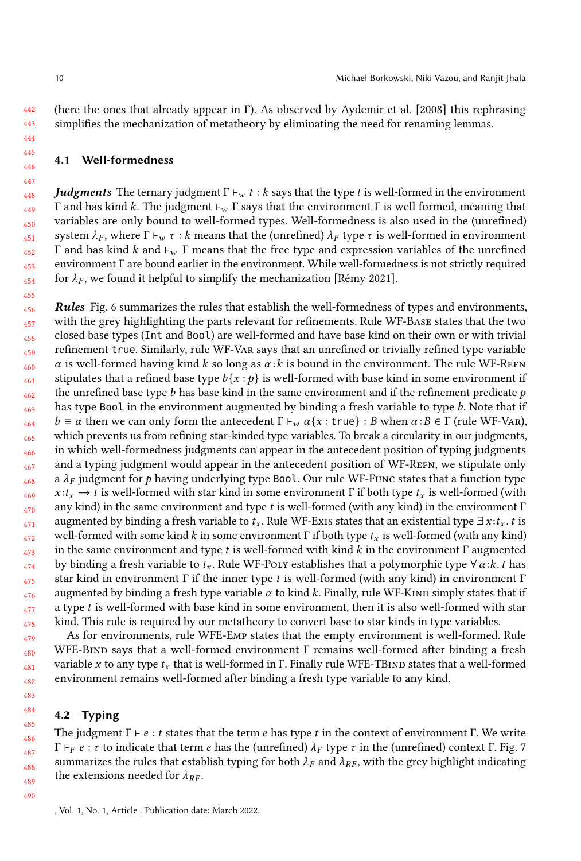442 443 (here the ones that already appear in Γ). As observed by [Aydemir et al.](#page-25-11) [\[2008\]](#page-25-11) this rephrasing simplifies the mechanization of metatheory by eliminating the need for renaming lemmas.

### <span id="page-9-0"></span>4.1 Well-formedness

448 449 450 451 452 453 454 **Judgments** The ternary judgment  $\Gamma \vdash_w t : k$  says that the type t is well-formed in the environment <sup>Γ</sup> and has kind <sup>k</sup>. The judgment <sup>⊢</sup>w <sup>Γ</sup> says that the environment <sup>Γ</sup> is well formed, meaning that variables are only bound to well-formed types. Well-formedness is also used in the (unrefined) system  $\lambda_F$ , where  $\Gamma \vdash_w \tau : k$  means that the (unrefined)  $\lambda_F$  type  $\tau$  is well-formed in environment Γ and has kind k and  $\vdash_w \Gamma$  means that the free type and expression variables of the unrefined environment Γ are bound earlier in the environment. While well-formedness is not strictly required for  $\lambda_F$ , we found it helpful to simplify the mechanization [\[Rémy 2021\]](#page-25-18).

456 457 458 459 460 461 462 463 464 465 466 467 468 469 470 471 472 473 474 475 476 477 478 Rules Fig. [6](#page-10-0) summarizes the rules that establish the well-formedness of types and environments, with the grey highlighting the parts relevant for refinements. Rule WF-Base states that the two closed base types (Int and Bool) are well-formed and have base kind on their own or with trivial refinement true. Similarly, rule WF-Var says that an unrefined or trivially refined type variable  $\alpha$  is well-formed having kind k so long as  $\alpha$ : k is bound in the environment. The rule WF-REFN stipulates that a refined base type  $b\{x : p\}$  is well-formed with base kind in some environment if the unrefined base type  $b$  has base kind in the same environment and if the refinement predicate  $p$ has type Bool in the environment augmented by binding a fresh variable to type b. Note that if  $b \equiv \alpha$  then we can only form the antecedent  $\Gamma \vdash_w \alpha\{x : \text{true}\} : B$  when  $\alpha : B \in \Gamma$  (rule WF-VAR), which prevents us from refining star-kinded type variables. To break a circularity in our judgments, in which well-formedness judgments can appear in the antecedent position of typing judgments and a typing judgment would appear in the antecedent position of WF-REFN, we stipulate only a  $\lambda_F$  judgment for p having underlying type Bool. Our rule WF-Func states that a function type  $x : t_x \to t$  is well-formed with star kind in some environment Γ if both type  $t_x$  is well-formed (with any kind) in the same environment and type t is well-formed (with any kind) in the environment  $\Gamma$ augmented by binding a fresh variable to  $t_x$ . Rule WF-Exis states that an existential type  $\exists x : t_x$ . t is well-formed with some kind k in some environment  $\Gamma$  if both type  $t_x$  is well-formed (with any kind) in the same environment and type t is well-formed with kind  $k$  in the environment  $\Gamma$  augmented by binding a fresh variable to  $t_x$ . Rule WF-Poly establishes that a polymorphic type  $\forall \alpha : k. t$  has star kind in environment  $\Gamma$  if the inner type t is well-formed (with any kind) in environment  $\Gamma$ augmented by binding a fresh type variable  $\alpha$  to kind k. Finally, rule WF-KIND simply states that if a type t is well-formed with base kind in some environment, then it is also well-formed with star kind. This rule is required by our metatheory to convert base to star kinds in type variables.

As for environments, rule WFE-Emp states that the empty environment is well-formed. Rule WFE-BIND says that a well-formed environment Γ remains well-formed after binding a fresh variable x to any type  $t_x$  that is well-formed in Γ. Finally rule WFE-TBIND states that a well-formed environment remains well-formed after binding a fresh type variable to any kind.

### 4.2 Typing

The judgment  $\Gamma \vdash e : t$  states that the term e has type t in the context of environment  $\Gamma$ . We write Γ  $\vdash_F e : \tau$  to indicate that term e has the (unrefined)  $\lambda_F$  type  $\tau$  in the (unrefined) context Γ. Fig. [7](#page-11-0) summarizes the rules that establish typing for both  $\lambda_F$  and  $\lambda_{RF}$ , with the grey highlight indicating the extensions needed for  $\lambda_{RF}$ .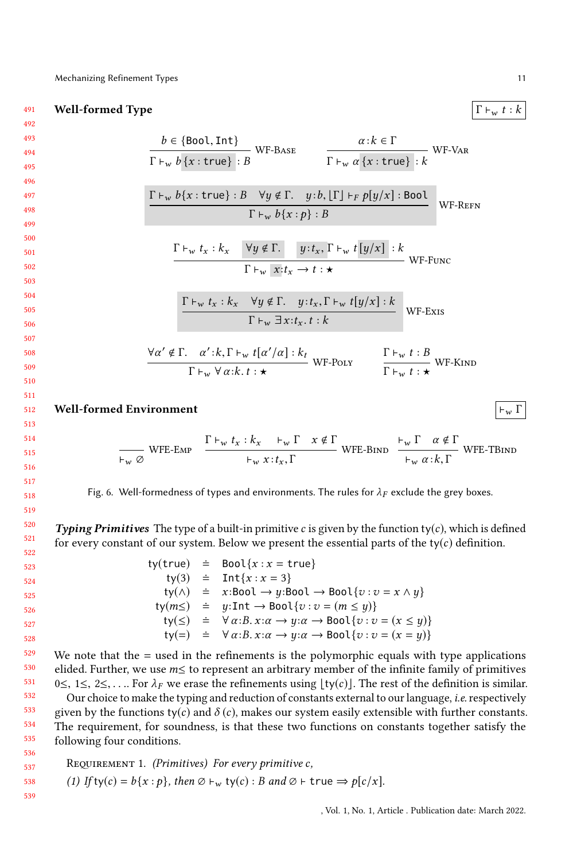491 **Well-formed Type**  $\begin{array}{c} \vert \Gamma \vdash_w t : k \end{array}$ 

492 493 494

<span id="page-10-0"></span>
$$
\frac{b \in \{Bool, Int\}}{\Gamma \vdash_w b \{x : true\} : B} \text{ WF-BASE} \qquad \frac{\alpha : k \in \Gamma}{\Gamma \vdash_w \alpha \{x : true\} : k} \text{ WF-VAR}
$$
\n
$$
\frac{\Gamma \vdash_w b \{x : true\} : B \quad \forall y \notin \Gamma. \quad y : b, [\Gamma] \vdash_F p[y/x] : \text{Bool}}{\Gamma \vdash_w b \{x : p\} : B} \text{ WF-REFN}
$$
\n
$$
\frac{\Gamma \vdash_w t_x : k_x \quad \forall y \notin \Gamma. \quad y : t_x, \Gamma \vdash_w t[y/x] : k}{\Gamma \vdash_w x : t_x \rightarrow t : \star} \text{ WF-Func}
$$
\n
$$
\frac{\Gamma \vdash_w t_x : k_x \quad \forall y \notin \Gamma. \quad y : t_x, \Gamma \vdash_w t[y/x] : k}{\Gamma \vdash_w \exists x : t_x. t : k} \text{ WF-Exrs}
$$
\n
$$
\frac{\forall \alpha' \notin \Gamma. \quad \alpha' : k, \Gamma \vdash_w t[\alpha'/\alpha] : k_t}{\Gamma \vdash_w \forall \alpha : k. t : \star} \text{ WF-Port} \qquad \frac{\Gamma \vdash_w t : B}{\Gamma \vdash_w t : \star} \text{ WF-KIND}
$$
\nWell-formed Environment\n
$$
\frac{\vdash_w \Gamma \vdash_w \Gamma \vdash_w \Gamma \vdash_w \Gamma \vdash_w \Gamma \vdash_w \Gamma \vdash_w \Gamma \vdash_w \Gamma \vdash_w \Gamma \vdash_w \Gamma \vdash_w \Gamma \vdash_w \Gamma \vdash_w \Gamma \vdash_w \Gamma \vdash_w \Gamma \vdash_w \Gamma \vdash_w \Gamma \vdash_w \Gamma \vdash_w \Gamma \vdash_w \Gamma \vdash_w \Gamma \vdash_w \Gamma \vdash_w \Gamma \vdash_w \Gamma \vdash_w \Gamma \vdash_w \Gamma \vdash_w \Gamma \vdash_w \Gamma \vdash_w \Gamma \vdash_w \Gamma \vdash_w \Gamma \vdash_w \Gamma \vdash_w \Gamma \vdash_w \Gamma \vdash_w \Gamma \vdash_w \Gamma \vdash_w \Gamma \vdash_w \Gamma \vdash_w \Gamma \vdash_w \Gamma \vdash_w \Gamma \vdash_w \Gamma \vdash_w \Gamma \vdash_w \Gamma \vdash_w \Gamma \vdash_w \Gamma \vdash_w \Gamma \vdash_w \Gamma \vdash_w \Gamma \vdash_w \Gamma \vdash_w \Gamma \vdash_w \Gamma \vdash_w \Gamma \vdash_w \Gamma \vdash_w \Gamma \vd
$$

$$
\frac{\Gamma \vdash_w t_x : k_x \quad \vdash_w \Gamma \quad x \notin \Gamma}{\vdash_w x : t_x, \Gamma}
$$
 WFE-BIND 
$$
\frac{\vdash_w \Gamma \quad \alpha \notin \Gamma}{\vdash_w \alpha : k, \Gamma}
$$
 WFE-TBIND

Fig. 6. Well-formedness of types and environments. The rules for  $\lambda_F$  exclude the grey boxes.

**Typing Primitives** The type of a built-in primitive c is given by the function ty(c), which is defined for every constant of our system. Below we present the essential parts of the ty( $c$ ) definition.

520 521 522

536

539

ty(true)  $\dot{=}$  Bool{ $x : x = \text{true}$ } ty(3)  $\div$  Int $\{x : x = 3\}$ ty( $\wedge$ )  $\doteq x : \text{Bool} \rightarrow y : \text{Bool} \rightarrow \text{Bool} \{v : v = x \wedge y\}$ ty $(m \leq) \equiv y$ :Int  $\rightarrow$  Bool $\{v : v = (m \leq y)\}$ ty( $\leq$ )  $\div$   $\forall \alpha : B. x : \alpha \rightarrow y : \alpha \rightarrow \text{Bool}\{v : v = (x \leq y)\}\$ ty(=)  $\div \forall \alpha : B. \ x : \alpha \rightarrow y : \alpha \rightarrow \text{Bool} \{v : v = (x = y)\}\$ 

529 530 531 532 We note that the  $=$  used in the refinements is the polymorphic equals with type applications elided. Further, we use m≤ to represent an arbitrary member of the infinite family of primitives 0≤, 1≤, 2≤,.... For  $\lambda_F$  we erase the refinements using [ty(c)]. The rest of the definition is similar. Our choice to make the typing and reduction of constants external to our language, *i.e.* respectively

533 534 535 given by the functions ty(c) and  $\delta(c)$ , makes our system easily extensible with further constants. The requirement, for soundness, is that these two functions on constants together satisfy the following four conditions.

<span id="page-10-1"></span>
$$
Step 1337
$$
 **REQUIREMENT 1.** (*Primitives*) *For every primitive c,*   
*538* (1) If ty(*c*) = *b*{*x* : *p*}, *then* ∅ *+*<sub>w</sub> ty(*c*) : *B and* ∅ *+* true ⇒ *p*[*c*/*x*].

, Vol. 1, No. 1, Article . Publication date: March 2022.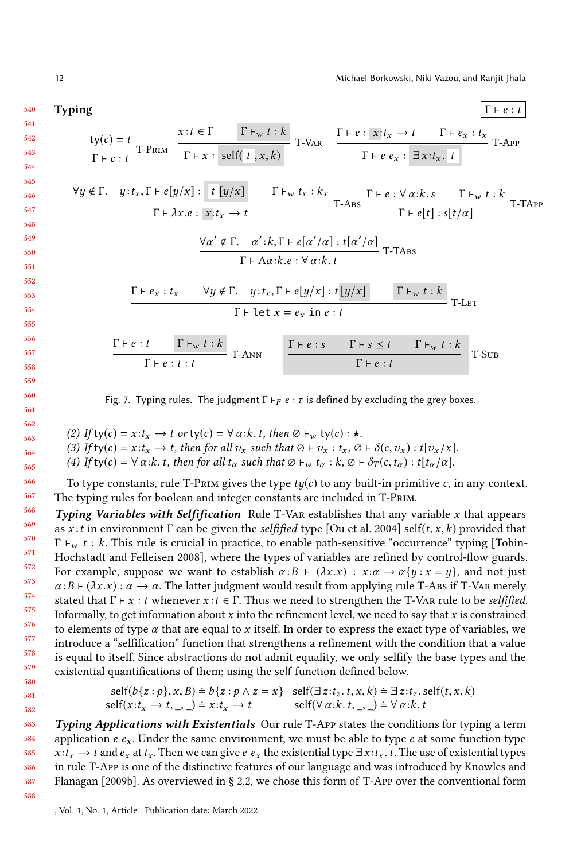<span id="page-11-0"></span>Typing  $\Gamma \vdash e : t$  $ty(c) = t$  $\frac{1}{\Gamma \vdash c : t}$  T-Prim  $x : t \in \Gamma$   $\Gamma \vdash_w t : k$  $\Gamma \vdash x : \text{ self}(\mid t \mid, x, k)$ T-VAR  $\frac{\Gamma \vdash e : x : t_x \to t \quad \Gamma \vdash e_x : t_x}{\Gamma}$ T + e e<sub>x</sub> :  $\exists x : t_x$ . t  $\forall y \notin \Gamma. \quad y: t_x, \Gamma \vdash e[y/x] : \boxed{t[y/x]}$   $\Gamma \vdash_w t_x: k_x$  $\frac{\Gamma\vdash e[y/x]:\left[t[y/x]\right]}{\Gamma\vdash \lambda x.e:\left[x;t_x\rightarrow t\right]}$  T-Abs  $\frac{\Gamma\vdash e:\forall \alpha:k.s \qquad \Gamma\vdash_w t:k}{\Gamma\vdash e[t]:s[t/\alpha]}$  $\Gamma \vdash e[t] : s[t/\alpha]$  T-TApp  $\forall \alpha' \notin \Gamma$ .  $\alpha': k, \Gamma \vdash e[\alpha'/\alpha]: t[\alpha'/\alpha]$  $\Gamma \vdash \Lambda \alpha : k.e : \forall \alpha : k.t$  T-TABS  $\Gamma \vdash e_x : t_x \quad \forall y \notin \Gamma. \quad y : t_x, \Gamma \vdash e[y/x] : t[y/x] \quad \Gamma \vdash_w t : k$  $\Gamma \vdash \texttt{let } x = e_x \texttt{ in } e : t$  T-Let

> $\Gamma \vdash e : t \qquad \Gamma \vdash_w t : k$  $\frac{t}{\Gamma \vdash e : t : t}$   $\frac{\Gamma \vdash e : s \qquad \Gamma \vdash s \leq t \qquad \Gamma \vdash_w t : k}{\Gamma \vdash e : t}$  $\Gamma \vdash e : t$  T-Sub

Fig. 7. Typing rules. The judgment  $\Gamma \vdash_F e : \tau$  is defined by excluding the grey boxes.

562 563 (2) If ty(c) =  $x : t_x \to t$  or ty(c) =  $\forall \alpha : k. t$ , then  $\emptyset \vdash_w$  ty(c) :  $\star$ .

(3) If ty(c) =  $x : t_x \to t$ , then for all  $v_x$  such that  $\emptyset \vdash v_x : t_x, \emptyset \vdash \delta(c, v_x) : t[v_x/x]$ .

(4) If ty(c) =  $\forall \alpha : k. t$ , then for all  $t_\alpha$  such that  $\emptyset \vdash_w t_\alpha : k, \emptyset \vdash \delta_T(c, t_\alpha) : t[t_\alpha/\alpha]$ .

To type constants, rule T-PRIM gives the type  $ty(c)$  to any built-in primitive c, in any context. The typing rules for boolean and integer constants are included in T-Prim.

568 569 570 571 572 573 574 575 576 577 578 579 580 **Typing Variables with Selfification** Rule T-VAR establishes that any variable x that appears as x:t in environment  $\Gamma$  can be given the *selfified* type [\[Ou et al.](#page-25-16) [2004\]](#page-25-16) self(t, x, k) provided that  $\Gamma \vdash_w t : k$ . This rule is crucial in practice, to enable path-sensitive "occurrence" typing [\[Tobin-](#page-26-4)[Hochstadt and Felleisen 2008\]](#page-26-4), where the types of variables are refined by control-flow guards. For example, suppose we want to establish  $\alpha : B \vdash (\lambda x.x) : x : \alpha \rightarrow \alpha \{y : x = y\}$ , and not just  $\alpha : B \vdash (\lambda x.x) : \alpha \rightarrow \alpha$ . The latter judgment would result from applying rule T-Abs if T-Var merely stated that  $\Gamma \vdash x : t$  whenever  $x : t \in \Gamma$ . Thus we need to strengthen the T-Var rule to be *selfified*. Informally, to get information about x into the refinement level, we need to say that x is constrained to elements of type  $\alpha$  that are equal to x itself. In order to express the exact type of variables, we introduce a "selfification" function that strengthens a refinement with the condition that a value is equal to itself. Since abstractions do not admit equality, we only selfify the base types and the existential quantifications of them; using the self function defined below.

self
$$
(b{z : p}, x, B) \doteq b{z : p \land z = x}
$$
 self $(\exists z : t_z, t, x, k) \doteq \exists z : t_z$ . self $(t, x, k)$   
self $(x : t_x \rightarrow t, \_, ) \doteq x : t_x \rightarrow t$  self $(\forall \alpha : k, t, \_, ) \doteq \forall \alpha : k, t$ 

583 584 585 586 587 Typing Applications with Existentials Our rule T-App states the conditions for typing a term application  $e \, e_x$ . Under the same environment, we must be able to type  $e$  at some function type  $x : t_x \to t$  and  $e_x$  at  $t_x$ . Then we can give  $e_x$  the existential type  $\exists x : t_x$ . t. The use of existential types in rule T-App is one of the distinctive features of our language and was introduced by [Knowles and](#page-25-8) [Flanagan](#page-25-8) [\[2009b\]](#page-25-8). As overviewed in § [2.2,](#page-3-0) we chose this form of T-App over the conventional form

588

581 582

, Vol. 1, No. 1, Article . Publication date: March 2022.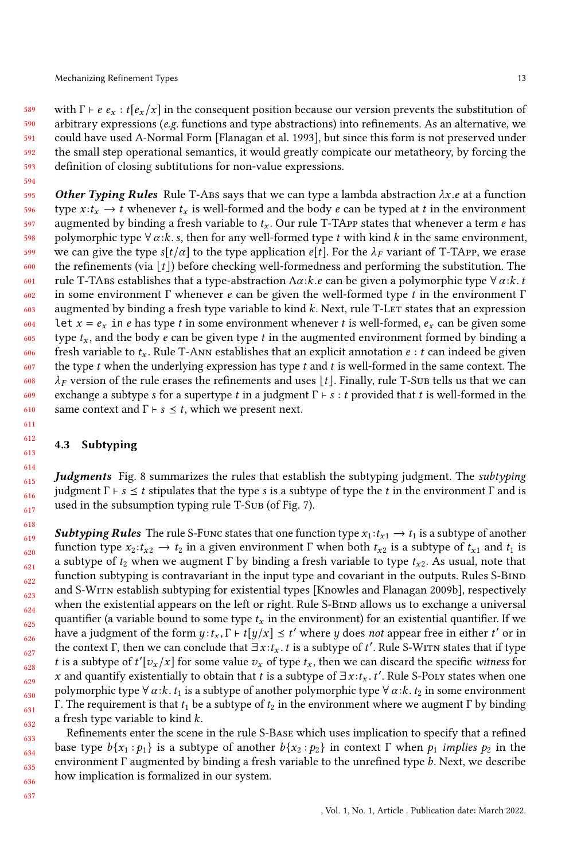594

589 590 591 592 593 with  $\Gamma \vdash e \cdot e_x : t[e_x/x]$  in the consequent position because our version prevents the substitution of arbitrary expressions ( $e.g.$  functions and type abstractions) into refinements. As an alternative, we could have used A-Normal Form [\[Flanagan et al.](#page-25-13) [1993\]](#page-25-13), but since this form is not preserved under the small step operational semantics, it would greatly compicate our metatheory, by forcing the definition of closing subtitutions for non-value expressions.

595 596 597 598 599 600 601 602 603 604 605 606 607 608 609 610 **Other Typing Rules** Rule T-ABS says that we can type a lambda abstraction  $\lambda x.e$  at a function type  $x : t_x \to t$  whenever  $t_x$  is well-formed and the body e can be typed at t in the environment augmented by binding a fresh variable to  $t_x$ . Our rule T-TAPP states that whenever a term e has polymorphic type  $\forall \alpha : k. s$ , then for any well-formed type t with kind k in the same environment, we can give the type s[t/ $\alpha$ ] to the type application e[t]. For the  $\lambda_F$  variant of T-TApp, we erase the refinements (via  $\lfloor t \rfloor$ ) before checking well-formedness and performing the substitution. The rule T-TABS establishes that a type-abstraction  $\Lambda \alpha :k.e$  can be given a polymorphic type  $\forall \alpha :k.t$ in some environment  $\Gamma$  whenever e can be given the well-formed type t in the environment  $\Gamma$ augmented by binding a fresh type variable to kind  $k$ . Next, rule T-LET states that an expression Let  $x = e_x$  in e has type t in some environment whenever t is well-formed,  $e_x$  can be given some type  $t_x$ , and the body  $e$  can be given type  $t$  in the augmented environment formed by binding a fresh variable to  $t_x$ . Rule T-Ann establishes that an explicit annotation  $e : t$  can indeed be given the type  $t$  when the underlying expression has type  $t$  and  $t$  is well-formed in the same context. The  $\lambda_F$  version of the rule erases the refinements and uses  $|t|$ . Finally, rule T-Sub tells us that we can exchange a subtype s for a supertype t in a judgment  $\Gamma \vdash s : t$  provided that t is well-formed in the same context and  $\Gamma \vdash s \leq t$ , which we present next.

### 4.3 Subtyping

**Judgments** Fig. [8](#page-14-0) summarizes the rules that establish the subtyping judgment. The *subtyping* judgment Γ  $\vdash$  s  $\leq$  t stipulates that the type s is a subtype of type the t in the environment Γ and is used in the subsumption typing rule T-Sub (of Fig. [7\)](#page-11-0).

**Subtyping Rules** The rule S-Func states that one function type  $x_1 : t_{x_1} \to t_1$  is a subtype of another function type  $x_2 : t_{x2} \to t_2$  in a given environment Γ when both  $t_{x2}$  is a subtype of  $t_{x1}$  and  $t_1$  is a subtype of  $t_2$  when we augment Γ by binding a fresh variable to type  $t_{x2}$ . As usual, note that function subtyping is contravariant in the input type and covariant in the outputs. Rules S-BIND and S-Witn establish subtyping for existential types [\[Knowles and Flanagan 2009b\]](#page-25-8), respectively when the existential appears on the left or right. Rule S-BIND allows us to exchange a universal quantifier (a variable bound to some type  $t<sub>x</sub>$  in the environment) for an existential quantifier. If we have a judgment of the form  $y: t_x, \Gamma \vdash t[y/x] \preceq t'$  where y does not appear free in either t' or in<br>the context  $\Gamma$  then we can conclude that  $\exists x: t \to ts$  a subtype of t'. Bule S-WITN states that if type the context Γ, then we can conclude that  $\exists x : t_x$ . t is a subtype of t'. Rule S-WITN states that if type t is a subtype of t'[z] /x] for some value z, of type t then we can discard the specific witness for t is a subtype of  $t'[v_x/x]$  for some value  $v_x$  of type  $t_x$ , then we can discard the specific witness for  $u$  and quantify quieterially to obtain that t is a subtype of  $\exists$  and  $t'$ . Bulg S Boyy at the upon one x and quantify existentially to obtain that t is a subtype of  $\exists x : t_x$ . t'. Rule S-Poly states when one<br>polymorphic type  $\forall x : t_x$  is a subtype of another polymorphic type  $\forall x : k_x$  is in some environment polymorphic type  $\forall \alpha : k. t_1$  is a subtype of another polymorphic type  $\forall \alpha : k. t_2$  in some environment Γ. The requirement is that  $t_1$  be a subtype of  $t_2$  in the environment where we augment Γ by binding a fresh type variable to kind  $k$ .

633 634 635 636 Refinements enter the scene in the rule S-Base which uses implication to specify that a refined base type  $b\{x_1 : p_1\}$  is a subtype of another  $b\{x_2 : p_2\}$  in context  $\Gamma$  when  $p_1$  *implies*  $p_2$  in the environment Γ augmented by binding a fresh variable to the unrefined type b. Next, we describe how implication is formalized in our system.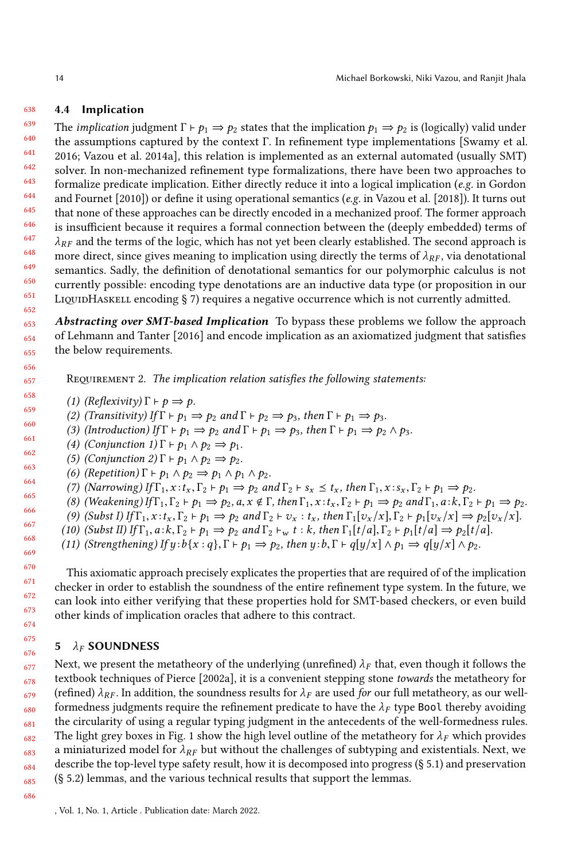#### <span id="page-13-2"></span>638 4.4 Implication

639 640 641 642 643 644 645 646 647 648 649 650 651 652 The *implication* judgment  $\Gamma \vdash p_1 \Rightarrow p_2$  states that the implication  $p_1 \Rightarrow p_2$  is (logically) valid under the assumptions captured by the context Γ. In refinement type implementations [\[Swamy et al.](#page-26-1) [2016;](#page-26-1) [Vazou et al.](#page-26-5) [2014a\]](#page-26-5), this relation is implemented as an external automated (usually SMT) solver. In non-mechanized refinement type formalizations, there have been two approaches to formalize predicate implication. Either directly reduce it into a logical implication (e.g. in [Gordon](#page-25-19) [and Fournet](#page-25-19) [\[2010\]](#page-25-19)) or define it using operational semantics (e.g. in [Vazou et al.](#page-26-2) [\[2018\]](#page-26-2)). It turns out that none of these approaches can be directly encoded in a mechanized proof. The former approach is insufficient because it requires a formal connection between the (deeply embedded) terms of  $\lambda_{RF}$  and the terms of the logic, which has not yet been clearly established. The second approach is more direct, since gives meaning to implication using directly the terms of  $\lambda_{RF}$ , via denotational semantics. Sadly, the definition of denotational semantics for our polymorphic calculus is not currently possible: encoding type denotations are an inductive data type (or proposition in our LIQUIDHASKELL encoding  $\S$  [7\)](#page-17-0) requires a negative occurrence which is not currently admitted.

653 654 655 Abstracting over SMT-based Implication To bypass these problems we follow the approach of [Lehmann and Tanter](#page-25-20) [\[2016\]](#page-25-20) and encode implication as an axiomatized judgment that satisfies the below requirements.

<span id="page-13-1"></span>REQUIREMENT 2. The implication relation satisfies the following statements:

(1) (Reflexivity)  $\Gamma \vdash p \Rightarrow p$ .

(2) (Transitivity) If  $\Gamma \vdash p_1 \Rightarrow p_2$  and  $\Gamma \vdash p_2 \Rightarrow p_3$ , then  $\Gamma \vdash p_1 \Rightarrow p_3$ .

(3) (Introduction) If  $\Gamma \vdash p_1 \Rightarrow p_2$  and  $\Gamma \vdash p_1 \Rightarrow p_3$ , then  $\Gamma \vdash p_1 \Rightarrow p_2 \land p_3$ .

661 662 (4) (Conjunction 1)  $\Gamma \vdash p_1 \land p_2 \Rightarrow p_1$ .

(5) (Conjunction 2)  $\Gamma \vdash p_1 \land p_2 \Rightarrow p_2$ .

- (6) (Repetition)  $\Gamma \vdash p_1 \land p_2 \Rightarrow p_1 \land p_1 \land p_2$ .
	- (7) (Narrowing) If  $\Gamma_1$ ,  $x : t_x$ ,  $\Gamma_2 \vdash p_1 \Rightarrow p_2$  and  $\Gamma_2 \vdash s_x \leq t_x$ , then  $\Gamma_1$ ,  $x : s_x$ ,  $\Gamma_2 \vdash p_1 \Rightarrow p_2$ .
	- (8) (Weakening) If  $\Gamma_1, \Gamma_2 \vdash p_1 \Rightarrow p_2, a, x \notin \Gamma$ , then  $\Gamma_1, x : t_x, \Gamma_2 \vdash p_1 \Rightarrow p_2$  and  $\Gamma_1, a : k, \Gamma_2 \vdash p_1 \Rightarrow p_2$ .
	- (9) (Subst I) If  $\Gamma_1, x : t_x, \Gamma_2 \vdash p_1 \Rightarrow p_2$  and  $\Gamma_2 \vdash v_x : t_x$ , then  $\Gamma_1[v_x/x], \Gamma_2 \vdash p_1[v_x/x] \Rightarrow p_2[v_x/x].$
	- (10) (Subst II) If  $\Gamma_1$ ,  $a$ : $k$ ,  $\Gamma_2 \vdash p_1 \Rightarrow p_2$  and  $\Gamma_2 \vdash_w t$  : k, then  $\Gamma_1[t/a], \Gamma_2 \vdash p_1[t/a] \Rightarrow p_2[t/a]$ .

(11) (Strengthening) If  $y : b\{x : q\}$ ,  $\Gamma \vdash p_1 \Rightarrow p_2$ , then  $y : b$ ,  $\Gamma \vdash q[y/x] \land p_1 \Rightarrow q[y/x] \land p_2$ .

This axiomatic approach precisely explicates the properties that are required of of the implication checker in order to establish the soundness of the entire refinement type system. In the future, we can look into either verifying that these properties hold for SMT-based checkers, or even build other kinds of implication oracles that adhere to this contract.

### <span id="page-13-0"></span>5  $\lambda_F$  SOUNDNESS

677 678 679 680 681 682 683 684 685 Next, we present the metatheory of the underlying (unrefined)  $\lambda_F$  that, even though it follows the textbook techniques of [Pierce](#page-25-9) [\[2002a\]](#page-25-9), it is a convenient stepping stone towards the metatheory for (refined)  $\lambda_{RF}$ . In addition, the soundness results for  $\lambda_F$  are used for our full metatheory, as our wellformedness judgments require the refinement predicate to have the  $\lambda_F$  type Bool thereby avoiding the circularity of using a regular typing judgment in the antecedents of the well-formedness rules. The light grey boxes in Fig. [1](#page-2-0) show the high level outline of the metatheory for  $\lambda_F$  which provides a miniaturized model for  $\lambda_{RF}$  but without the challenges of subtyping and existentials. Next, we describe the top-level type safety result, how it is decomposed into progress (§ [5.1\)](#page-14-1) and preservation (§ [5.2\)](#page-15-1) lemmas, and the various technical results that support the lemmas.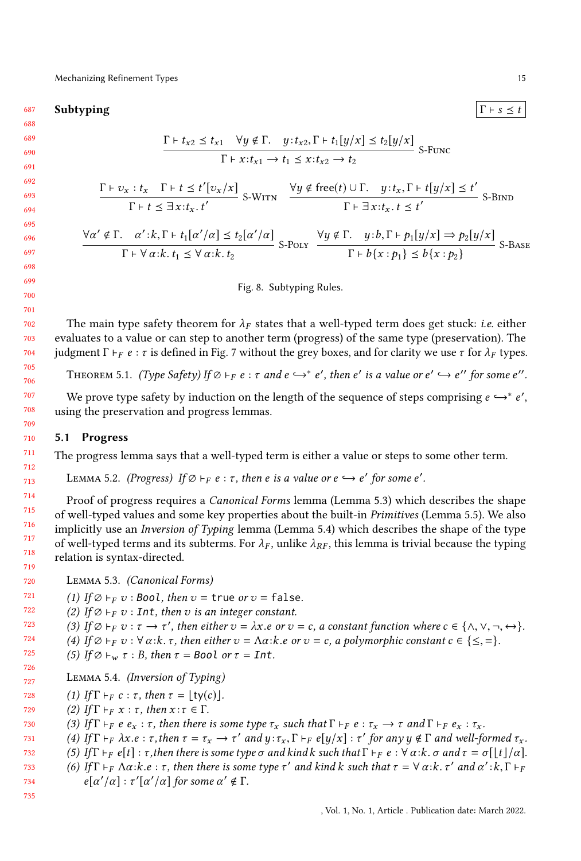#### <span id="page-14-0"></span>687 Subtyping  $|\Gamma \vdash s \leq t$

$$
\frac{\Gamma \vdash t_{x2} \leq t_{x1} \quad \forall y \notin \Gamma. \quad y : t_{x2}, \Gamma \vdash t_1[y/x] \leq t_2[y/x]}{\Gamma \vdash x : t_{x1} \to t_1 \leq x : t_{x2} \to t_2} \quad \text{S-Func}
$$
\n
$$
\frac{\Gamma \vdash v_x : t_x \quad \Gamma \vdash t \leq t'[v_x/x]}{\Gamma \vdash t \leq \exists x : t_x, t'} \quad \text{S-WITN} \quad \frac{\forall y \notin \text{free}(t) \cup \Gamma. \quad y : t_x, \Gamma \vdash t[y/x] \leq t'}{\Gamma \vdash \exists x : t_x, t \leq t'} \quad \text{S-BIND}
$$
\n
$$
\frac{\forall \alpha' \notin \Gamma. \quad \alpha' : k, \Gamma \vdash t_1[\alpha'/\alpha] \leq t_2[\alpha'/\alpha]}{\Gamma \vdash \forall \alpha : k, t_1 \leq \forall \alpha : k, t_2} \quad \text{S-POLY} \quad \frac{\forall y \notin \Gamma. \quad y : b, \Gamma \vdash p_1[y/x] \Rightarrow p_2[y/x]}{\Gamma \vdash b\{x : p_1\} \leq b\{x : p_2\}} \quad \text{S-BASE}
$$

Fig. 8. Subtyping Rules.

The main type safety theorem for  $\lambda_F$  states that a well-typed term does get stuck: *i.e.* either evaluates to a value or can step to another term (progress) of the same type (preservation). The judgment Γ  $⊢$   $_F$   $e : \tau$  is defined in Fig. [7](#page-11-0) without the grey boxes, and for clarity we use  $\tau$  for  $\lambda$ <sub>F</sub> types.

THEOREM 5.1. (Type Safety) If  $\emptyset \vdash_F e : \tau$  and  $e \hookrightarrow^* e'$ , then  $e'$  is a value or  $e' \hookrightarrow e''$  for some  $e''.$ 

We prove type safety by induction on the length of the sequence of steps comprising  $e \hookrightarrow^* e'$ , ing the preservation and progress lemmas using the preservation and progress lemmas.

### <span id="page-14-1"></span>5.1 Progress

The progress lemma says that a well-typed term is either a value or steps to some other term.

LEMMA 5.2. (Progress) If  $\varnothing \vdash_F e : \tau$ , then e is a value or  $e \hookrightarrow e'$  for some  $e'.$ 

Proof of progress requires a *Canonical Forms* lemma (Lemma [5.3\)](#page-14-2) which describes the shape of well-typed values and some key properties about the built-in Primitives (Lemma [5.5\)](#page-15-2). We also implicitly use an Inversion of Typing lemma (Lemma [5.4\)](#page-14-3) which describes the shape of the type of well-typed terms and its subterms. For  $\lambda_F$ , unlike  $\lambda_{RF}$ , this lemma is trivial because the typing relation is syntax-directed.

<span id="page-14-2"></span>720 Lemma 5.3. (Canonical Forms)

721 (1) If  $\emptyset \vdash_F v$  : Bool, then  $v = \text{true}$  or  $v = \text{false}$ .

722 (2) If  $\emptyset \vdash_F v$  : Int, then v is an integer constant.

723 (3) If  $\emptyset \vdash_F v : \tau \to \tau'$ , then either  $v = \lambda x \cdot e$  or  $v = c$ , a constant function where  $c \in \{\wedge, \vee, \neg, \leftrightarrow\}$ .<br>(4) If  $\emptyset \vdash_R v : \forall \alpha \cdot k, \tau$  then either  $v = \Delta \alpha \cdot k, e \text{ or } v = c$ , a polymorphic constant  $c \in \{ \leq -1 \}$ .

- 724 (4) If  $\varnothing \vdash_F v : \forall \alpha : k : \tau$ , then either  $v = \Lambda \alpha : k : e$  or  $v = c$ , a polymorphic constant  $c \in \{\leq, =\}.$
- 725 (5) If  $\emptyset \vdash_w \tau : B$ , then  $\tau = \text{Bool}$  or  $\tau = \text{Int}$ .

<span id="page-14-3"></span>727 Lemma 5.4. (Inversion of Typing)

- 728 (1) If  $\Gamma \vdash_F c : \tau$ , then  $\tau = |\text{tv}(c)|$ .
- 729 (2) If  $\Gamma \vdash_F x : \tau$ , then  $x : \tau \in \Gamma$ .

726

735

730 (3) If  $\Gamma \vdash_F e e_x : \tau$ , then there is some type  $\tau_x$  such that  $\Gamma \vdash_F e : \tau_x \rightarrow \tau$  and  $\Gamma \vdash_F e_x : \tau_x$ .

731 (4) If  $\Gamma \vdash_F \lambda x.e : \tau$ , then  $\tau = \tau_x \rightarrow \tau'$  and  $y : \tau_x, \Gamma \vdash_F e[y/x] : \tau'$  for any  $y \notin \Gamma$  and well-formed  $\tau_x$ .<br>(5) If  $\Gamma \vdash_F e[t] : \tau$  then there is some type  $\tau$  and kind k such that  $\Gamma \vdash_F e : \forall \alpha : k \in \mathbb{Z}$  and  $\tau = \tau[|t|/\$ 

732 (5) If  $\Gamma \vdash_F e[t]$ : τ, then there is some type  $\sigma$  and kind k such that  $\Gamma \vdash_F e : \forall \alpha: k. \sigma$  and  $\tau = \sigma[\lfloor t \rfloor / \alpha]$ .

733 734 (6) If  $\Gamma \vdash_F \Lambda \alpha$ : k.e : τ, then there is some type τ' and kind k such that  $\tau = \forall \alpha$ : k. τ' and  $\alpha' : k, \Gamma \vdash_F \beta$  $e[\alpha'/\alpha]: \tau'[\alpha'/\alpha]$  for some  $\alpha' \notin \Gamma$ .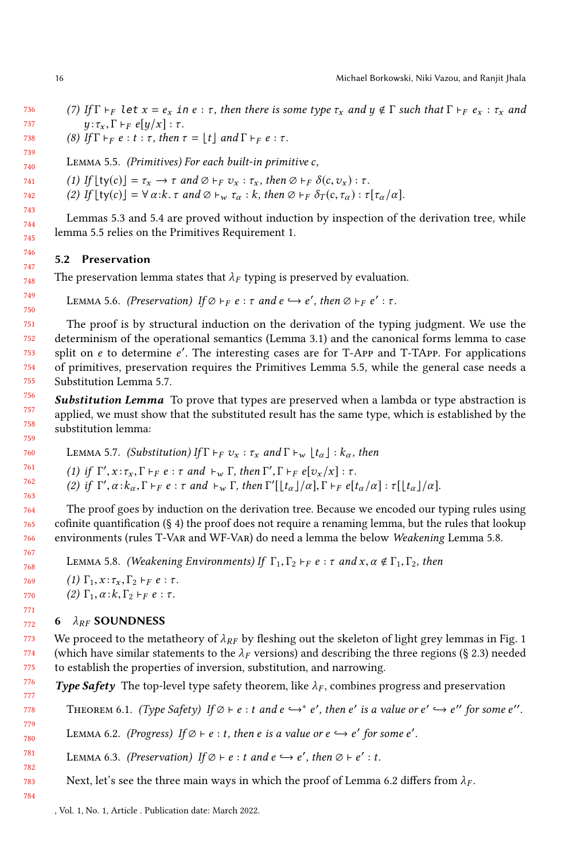- 736 737 (7) If  $\Gamma \vdash_F \text{let } x = e_x$  in  $e : \tau$ , then there is some type  $\tau_x$  and  $y \notin \Gamma$  such that  $\Gamma \vdash_F e_x : \tau_x$  and  $y: \tau_x, \Gamma \vdash_F e[y/x] : \tau$ .
	- (8) If  $\Gamma \vdash_F e : t : \tau$ , then  $\tau = \lfloor t \rfloor$  and  $\Gamma \vdash_F e : \tau$ .
- <span id="page-15-2"></span>739 740 Lemma 5.5. (Primitives) For each built-in primitive c,
- 741 (1) If  $\lfloor \text{ty}(c) \rfloor = \tau_x \to \tau$  and  $\varnothing \vdash_F v_x : \tau_x$ , then  $\varnothing \vdash_F \delta(c, v_x) : \tau$ .
	- (2) If  $\lfloor \text{ty}(c) \rfloor = \forall \alpha : k \cdot \tau \text{ and } \emptyset \vdash_w \tau_\alpha : k \text{, then } \emptyset \vdash_F \delta_T(c, \tau_\alpha) : \tau[\tau_\alpha/\alpha].$

Lemmas [5.3](#page-14-2) and [5.4](#page-14-3) are proved without induction by inspection of the derivation tree, while lemma [5.5](#page-15-2) relies on the Primitives Requirement [1.](#page-10-1)

## <span id="page-15-1"></span>5.2 Preservation

The preservation lemma states that  $\lambda_F$  typing is preserved by evaluation.

```
LEMMA 5.6. (Preservation) If \varnothing \vdash_F e : \tau and e \hookrightarrow e', then \varnothing \vdash_F e' : \tau.
```
The proof is by structural induction on the derivation of the typing judgment. We use the determinism of the operational semantics (Lemma [3.1\)](#page-8-2) and the canonical forms lemma to case split on e to determine e'. The interesting cases are for T-APP and T-TAPP. For applications of primitives, preservation requires the Primitives Lemma [5.5,](#page-15-2) while the general case needs a Substitution Lemma [5.7.](#page-15-3)

**Substitution Lemma** To prove that types are preserved when a lambda or type abstraction is applied, we must show that the substituted result has the same type, which is established by the substitution lemma:

```
759
760
761
762
763
                        LEMMA 5.7. (Substitution) If \Gamma \vdash_F v_x : \tau_x and \Gamma \vdash_w \lfloor t_\alpha \rfloor : k_\alpha, then
                         (1) if \Gamma', x : \tau_x, \Gamma \vdash_F e : \tau and \vdash_w \Gamma, then \Gamma', \Gamma \vdash_F e[v_x/x] : \tau.<br>(2) if \Gamma' \alpha \cdot k = \Gamma \vdash_R e : \tau and \vdash_\Gamma \Gamma then \Gamma'[\bot \top \bot \alpha] \Gamma \vdash_R e[\tau].
                         (2) if \Gamma', \alpha : k_\alpha, \Gamma \vdash_F e : \tau and \vdash_w \Gamma, then \Gamma'[\lfloor t_\alpha \rfloor/\alpha], \Gamma \vdash_F e[t_\alpha/\alpha] : \tau[\lfloor t_\alpha \rfloor/\alpha].
```
The proof goes by induction on the derivation tree. Because we encoded our typing rules using cofinite quantification (§ [4\)](#page-8-0) the proof does not require a renaming lemma, but the rules that lookup environments (rules T-Var and WF-Var) do need a lemma the below Weakening Lemma [5.8.](#page-15-4)

```
LEMMA 5.8. (Weakening Environments) If \Gamma_1, \Gamma_2 \vdash_F e : \tau and x, \alpha \notin \Gamma_1, \Gamma_2, then
(1) \Gamma_1, x: \tau_x, \Gamma_2 \vdash_F e: \tau.
```
(2)  $\Gamma_1, \alpha : k, \Gamma_2 \vdash_F e : \tau$ .

## <span id="page-15-0"></span>6  $\lambda_{RF}$  SOUNDNESS

773 774 775 We proceed to the metatheory of  $\lambda_{RF}$  by fleshing out the skeleton of light grey lemmas in Fig. [1](#page-2-0) (which have similar statements to the  $\lambda_F$  versions) and describing the three regions (§ [2.3\)](#page-4-0) needed to establish the properties of inversion, substitution, and narrowing.

776 777 **Type Safety** The top-level type safety theorem, like  $\lambda_F$ , combines progress and preservation

<span id="page-15-7"></span><span id="page-15-5"></span>THEOREM 6.1. (Type Safety) If  $\varnothing \vdash e : t$  and  $e \hookrightarrow^* e'$ , then  $e'$  is a value or  $e' \hookrightarrow e''$  for some  $e''.$ 

779 780 LEMMA 6.2. (Progress) If  $\emptyset \vdash e : t$ , then e is a value or  $e \hookrightarrow e'$  for some e'.

<span id="page-15-6"></span>781 782 LEMMA 6.3. (Preservation) If  $\varnothing \vdash e : t$  and  $e \hookrightarrow e'$ , then  $\varnothing \vdash e' : t$ .

783 Next, let's see the three main ways in which the proof of Lemma [6.2](#page-15-5) differs from  $\lambda_F$ .

738

778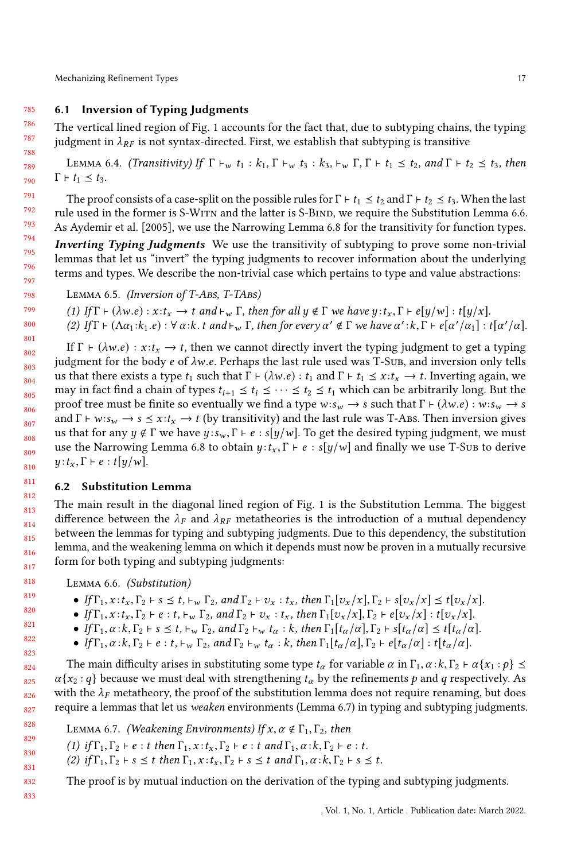#### 785 6.1 Inversion of Typing Judgments

<span id="page-16-0"></span>The vertical lined region of Fig. [1](#page-2-0) accounts for the fact that, due to subtyping chains, the typing judgment in  $\lambda_{RF}$  is not syntax-directed. First, we establish that subtyping is transitive

LEMMA 6.4. (Transitivity) If  $\Gamma \vdash_{w} t_1 : k_1, \Gamma \vdash_{w} t_3 : k_3, \vdash_{w} \Gamma, \Gamma \vdash t_1 \leq t_2$ , and  $\Gamma \vdash t_2 \leq t_3$ , then  $\Gamma \vdash t_1 \leq t_3.$ 

The proof consists of a case-split on the possible rules for  $\Gamma \vdash t_1 \leq t_2$  and  $\Gamma \vdash t_2 \leq t_3$ . When the last rule used in the former is S-Witn and the latter is S-Bind, we require the Substitution Lemma [6.6.](#page-16-1) As [Aydemir et al.](#page-25-17) [\[2005\]](#page-25-17), we use the Narrowing Lemma [6.8](#page-17-1) for the transitivity for function types.

Inverting Typing Judgments We use the transitivity of subtyping to prove some non-trivial lemmas that let us "invert" the typing judgments to recover information about the underlying terms and types. We describe the non-trivial case which pertains to type and value abstractions:

LEMMA 6.5. (Inversion of T-ABS, T-TABS)

(1) If  $\Gamma \vdash (\lambda w.e) : x : t_x \to t$  and  $\vdash_w \Gamma$ , then for all  $y \notin \Gamma$  we have  $y : t_x, \Gamma \vdash e[y/w] : t[y/x]$ . (2) If  $\Gamma \vdash (\Lambda \alpha_1 : k_1.e) : \forall \alpha : k.t \ and \vdash_w \Gamma, then for every \alpha' \notin \Gamma$  we have  $\alpha' : k, \Gamma \vdash e[\alpha'/\alpha_1] : t[\alpha'/\alpha]$ .

801 802 803 804 805 806 807 808 809 810 If  $\Gamma \vdash (\lambda w.e) : x : t_x \rightarrow t$ , then we cannot directly invert the typing judgment to get a typing judgment for the body  $e$  of  $\lambda w.e.$  Perhaps the last rule used was T-Sub, and inversion only tells us that there exists a type  $t_1$  such that  $\Gamma \vdash (\lambda w.e) : t_1$  and  $\Gamma \vdash t_1 \leq x : t_x \rightarrow t$ . Inverting again, we may in fact find a chain of types  $t_{i+1} \leq t_i \leq \cdots \leq t_2 \leq t_1$  which can be arbitrarily long. But the proof tree must be finite so eventually we find a type  $w:s_w \to s$  such that  $\Gamma \vdash (\lambda w.e) : w:s_w \to s$ and  $\Gamma \vdash w : s_w \rightarrow s \leq x : t_x \rightarrow t$  (by transitivity) and the last rule was T-ABS. Then inversion gives us that for any  $y \notin \Gamma$  we have  $y : s_w, \Gamma \vdash e : s[y/w]$ . To get the desired typing judgment, we must use the Narrowing Lemma [6.8](#page-17-1) to obtain  $y : t_x, \Gamma \vdash e : s[y/w]$  and finally we use T-Sub to derive  $y : t_x, \Gamma \vdash e : t[y/w].$ 

## 6.2 Substitution Lemma

812 813 814 815 816 817 The main result in the diagonal lined region of Fig. [1](#page-2-0) is the Substitution Lemma. The biggest difference between the  $\lambda_F$  and  $\lambda_{RF}$  metatheories is the introduction of a mutual dependency between the lemmas for typing and subtyping judgments. Due to this dependency, the substitution lemma, and the weakening lemma on which it depends must now be proven in a mutually recursive form for both typing and subtyping judgments:

<span id="page-16-1"></span>Lemma 6.6. (Substitution)

- If  $\Gamma_1, x : t_x, \Gamma_2 \vdash s \leq t, \vdash_w \Gamma_2$ , and  $\Gamma_2 \vdash v_x : t_x$ , then  $\Gamma_1[v_x/x], \Gamma_2 \vdash s[v_x/x] \leq t[v_x/x]$ .
- If  $\Gamma_1$ ,  $x : t_x$ ,  $\Gamma_2 \vdash e : t$ ,  $\vdash_w \Gamma_2$ , and  $\Gamma_2 \vdash v_x : t_x$ , then  $\Gamma_1[v_x/x]$ ,  $\Gamma_2 \vdash e[v_x/x] : t[v_x/x]$ .
- If  $\Gamma_1, \alpha : k, \Gamma_2 \vdash s \leq t$ ,  $\vdash_w \Gamma_2$ , and  $\Gamma_2 \vdash_w t_\alpha : k$ , then  $\Gamma_1[t_\alpha/\alpha], \Gamma_2 \vdash s[t_\alpha/\alpha] \leq t[t_\alpha/\alpha]$ .
- If  $\Gamma_1, \alpha : k, \Gamma_2 \vdash e : t, \vdash_w \Gamma_2$ , and  $\Gamma_2 \vdash_w t_\alpha : k$ , then  $\Gamma_1[t_\alpha/\alpha], \Gamma_2 \vdash e[t_\alpha/\alpha] : t[t_\alpha/\alpha]$ .

824 825 826 The main difficulty arises in substituting some type  $t_\alpha$  for variable  $\alpha$  in  $\Gamma_1$ ,  $\alpha$ : $k$ ,  $\Gamma_2$  +  $\alpha$ { $x_1$ : $p$ }  $\leq$  $\alpha\{x_2 : q\}$  because we must deal with strengthening  $t_\alpha$  by the refinements p and q respectively. As with the  $\lambda_F$  metatheory, the proof of the substitution lemma does not require renaming, but does require a lemmas that let us weaken environments (Lemma [6.7\)](#page-16-2) in typing and subtyping judgments.

828 829 830 831 832 LEMMA 6.7. (Weakening Environments) If  $x, \alpha \notin \Gamma_1, \Gamma_2$ , then (1) if  $\Gamma_1, \Gamma_2 \vdash e : t$  then  $\Gamma_1, x : t_x, \Gamma_2 \vdash e : t$  and  $\Gamma_1, \alpha : k, \Gamma_2 \vdash e : t$ . (2) if  $\Gamma_1, \Gamma_2 \vdash s \leq t$  then  $\Gamma_1, x : t_x, \Gamma_2 \vdash s \leq t$  and  $\Gamma_1, \alpha : k, \Gamma_2 \vdash s \leq t$ . The proof is by mutual induction on the derivation of the typing and subtyping judgments.

<span id="page-16-2"></span>827

811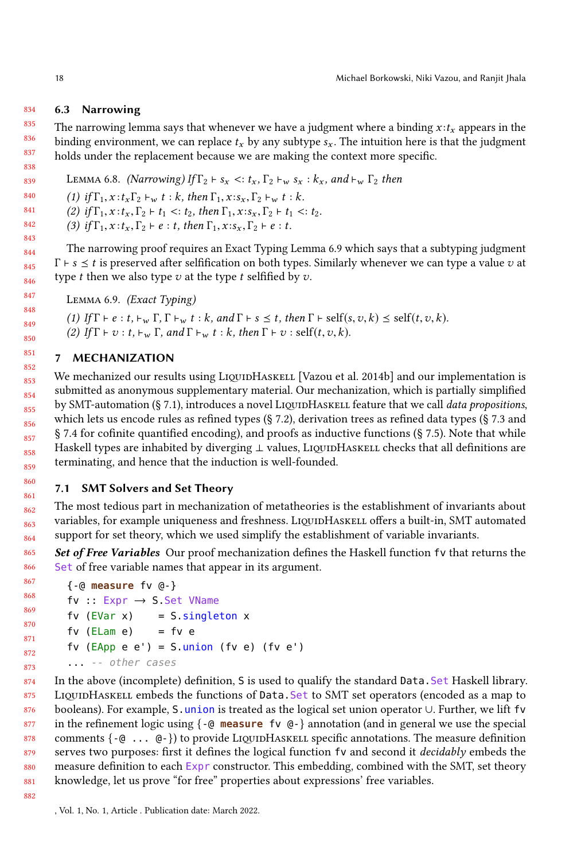#### 834 6.3 Narrowing

835 836 837 838 The narrowing lemma says that whenever we have a judgment where a binding  $x : t_x$  appears in the binding environment, we can replace  $t_x$  by any subtype  $s_x$ . The intuition here is that the judgment holds under the replacement because we are making the context more specific.

<span id="page-17-1"></span>839 LEMMA 6.8. (Narrowing) If  $\Gamma_2 \vdash s_x \prec t_x$ ,  $\Gamma_2 \vdash_w s_x : k_x$ , and  $\vdash_w \Gamma_2$  then

840 (1) if  $\Gamma_1$ ,  $x : t_x \Gamma_2 \vdash_w t : k$ , then  $\Gamma_1$ ,  $x : s_x$ ,  $\Gamma_2 \vdash_w t : k$ .

841 (2) if  $\Gamma_1, x : t_x, \Gamma_2 \vdash t_1 < t_2$ , then  $\Gamma_1, x : s_x, \Gamma_2 \vdash t_1 < t_2$ .

(3) if  $\Gamma_1$ ,  $x$  :  $t_x$ ,  $\Gamma_2$   $\vdash$   $e$  :  $t$ , then  $\Gamma_1$ ,  $x$  :  $s_x$ ,  $\Gamma_2$   $\vdash$   $e$  :  $t$ .

The narrowing proof requires an Exact Typing Lemma [6.9](#page-17-2) which says that a subtyping judgment  $\Gamma \vdash s \leq t$  is preserved after selfification on both types. Similarly whenever we can type a value v at type t then we also type  $v$  at the type t selfified by  $v$ .

```
Lemma 6.9. (Exact Typing)
```
(1) If  $\Gamma \vdash e : t, \vdash_w \Gamma, \Gamma \vdash_w t : k$ , and  $\Gamma \vdash s \leq t$ , then  $\Gamma \vdash \text{self}(s, v, k) \leq \text{self}(t, v, k)$ . (2) If  $\Gamma \vdash v : t \vdash_w \Gamma$ , and  $\Gamma \vdash_w t : k$ , then  $\Gamma \vdash v : \text{self}(t, v, k)$ .

## <span id="page-17-0"></span>7 MECHANIZATION

852 853 854 855 856 857 858 859 We mechanized our results using LIQUIDHASKELL [\[Vazou et al.](#page-26-0) [2014b\]](#page-26-0) and our implementation is submitted as anonymous supplementary material. Our mechanization, which is partially simplified by SMT-automation  $(\S 7.1)$  $(\S 7.1)$ , introduces a novel LIQUIDHASKELL feature that we call data propositions, which lets us encode rules as refined types (§ [7.2\)](#page-18-0), derivation trees as refined data types (§ [7.3](#page-19-0) and § [7.4](#page-19-1) for cofinite quantified encoding), and proofs as inductive functions (§ [7.5\)](#page-21-0). Note that while Haskell types are inhabited by diverging  $\perp$  values, LIQUIDHASKELL checks that all definitions are terminating, and hence that the induction is well-founded.

## <span id="page-17-3"></span>7.1 SMT Solvers and Set Theory

862 863 864 The most tedious part in mechanization of metatheories is the establishment of invariants about variables, for example uniqueness and freshness. LIQUIDHASKELL offers a built-in, SMT automated support for set theory, which we used simplify the establishment of variable invariants.

Set of Free Variables Our proof mechanization defines the Haskell function fv that returns the Set of free variable names that appear in its argument.

```
867
868
869
870
871
872
873
        {-@ measure fv @-}
        fv :: Expr → S.Set VName
        fv (EVar x) = S.singleton x
        f(v \text{ (Elam } e) = f v e)fv (EApp e e') = S.union (fv e) (fv e')... -- other cases
```
874 875 876 877 878 879 880 881 In the above (incomplete) definition, S is used to qualify the standard Data.Set Haskell library. LIQUIDHASKELL embeds the functions of Data.Set to SMT set operators (encoded as a map to booleans). For example, S.union is treated as the logical set union operator ∪. Further, we lift fv in the refinement logic using {-@ **measure** fv @-} annotation (and in general we use the special comments  $\{-\mathbf{0} \dots \mathbf{0}\}$  to provide LiquidHaskell specific annotations. The measure definition serves two purposes: first it defines the logical function fv and second it *decidably* embeds the measure definition to each Expr constructor. This embedding, combined with the SMT, set theory knowledge, let us prove "for free" properties about expressions' free variables.

882

860 861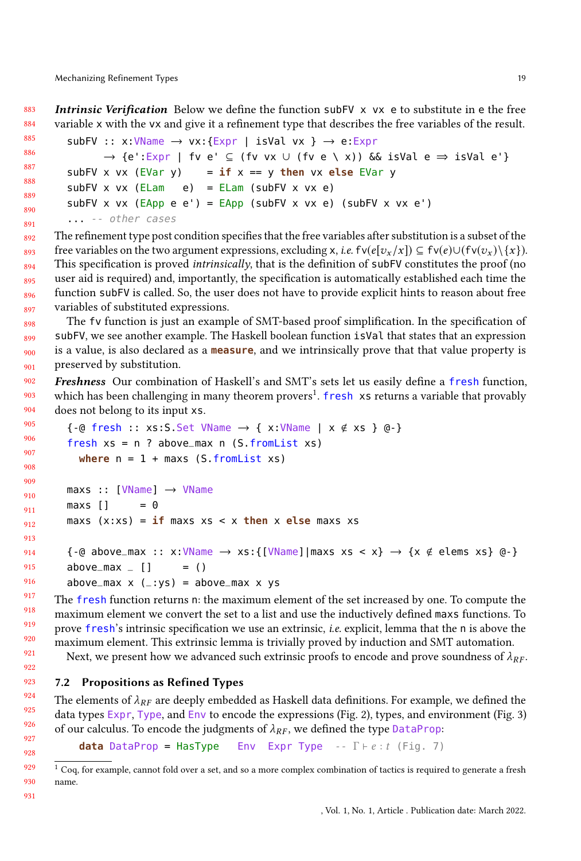883 884 Intrinsic Verification Below we define the function subFV x vx e to substitute in e the free variable x with the vx and give it a refinement type that describes the free variables of the result.

```
885
886
887
888
889
890
891
          subFV :: x:VName \rightarrow vx: {Expr} | isVal vx } \rightarrow e:Expr\rightarrow \{e': \text{Expr} \mid \text{fv } e' \subseteq (\text{fv vx } \cup (\text{fv } e \setminus x)) \text{ &\& isVal } e \Rightarrow \text{isVal } e'\}subFV x vx (EVar y) = i f x == y then vx else EVar y
          subFV x vx (ELam e) = ELam (subFV x vx e)
          subFV x vx (EApp e e') = EApp (subFV x v x e) (subFV x v x e')... -- other cases
```
892 893 894 895 896 897 The refinement type post condition specifies that the free variables after substitution is a subset of the free variables on the two argument expressions, excluding x, *i.e.* fv( $e[v_x / x]$ )  $\subseteq$  fv( $e$ )∪(fv( $v_x$ )\{x}). This specification is proved *intrinsically*, that is the definition of  $\mathsf{subFV}$  constitutes the proof (no user aid is required) and, importantly, the specification is automatically established each time the function subFV is called. So, the user does not have to provide explicit hints to reason about free variables of substituted expressions.

898 899 900 901 The fv function is just an example of SMT-based proof simplification. In the specification of subFV, we see another example. The Haskell boolean function isVal that states that an expression is a value, is also declared as a **measure**, and we intrinsically prove that that value property is preserved by substitution.

902 903 904 Freshness Our combination of Haskell's and SMT's sets let us easily define a fresh function, which has been challenging in many theorem provers<sup>[1](#page-18-1)</sup>. fresh xs returns a variable that provably does not belong to its input xs.

```
905
906
907
908
909
910
911
912
913
914
915
916
         \{-@ fresh :: xs:S.Set VName \rightarrow \{ x:\text{VName} \mid x \notin xs \} @-\}fresh xs = n ? above_max n (S.fromList xs)
           where n = 1 + \text{max} (S.fromList xs)
         maxs :: [VName] → VName
         maxs [ ] = 0maxs (x:xs) = if maxs xs < x then x else maxs xs
         \{-@above_max :: x:\text{VName} \rightarrow xs:\text{VName} \mid \text{max } xs < x\} \rightarrow \{x \notin \text{elements } xs\} @-\}above_max \angle [] = ()
         above_max x (_:ys) = above_max x ys
```
The fresh function returns n: the maximum element of the set increased by one. To compute the maximum element we convert the set to a list and use the inductively defined maxs functions. To prove fresh's intrinsic specification we use an extrinsic, i.e. explicit, lemma that the <sup>n</sup> is above the maximum element. This extrinsic lemma is trivially proved by induction and SMT automation.

Next, we present how we advanced such extrinsic proofs to encode and prove soundness of  $\lambda_{RF}$ .

### <span id="page-18-0"></span>7.2 Propositions as Refined Types

The elements of  $\lambda_{RF}$  are deeply embedded as Haskell data definitions. For example, we defined the data types Expr, Type, and Env to encode the expressions (Fig. [2\)](#page-5-1), types, and environment (Fig. [3\)](#page-7-0) of our calculus. To encode the judgments of  $\lambda_{RF}$ , we defined the type DataProp:<br> **data** DataProp = HasTvpe Env Expr Type --  $\Gamma \vdash e : t$  (Fig. 7)

**Env** Expr Type -- Γ ⊢ *e* : t (Fig. [7\)](#page-11-0)

<span id="page-18-1"></span> $1$  Coq, for example, cannot fold over a set, and so a more complex combination of tactics is required to generate a fresh name.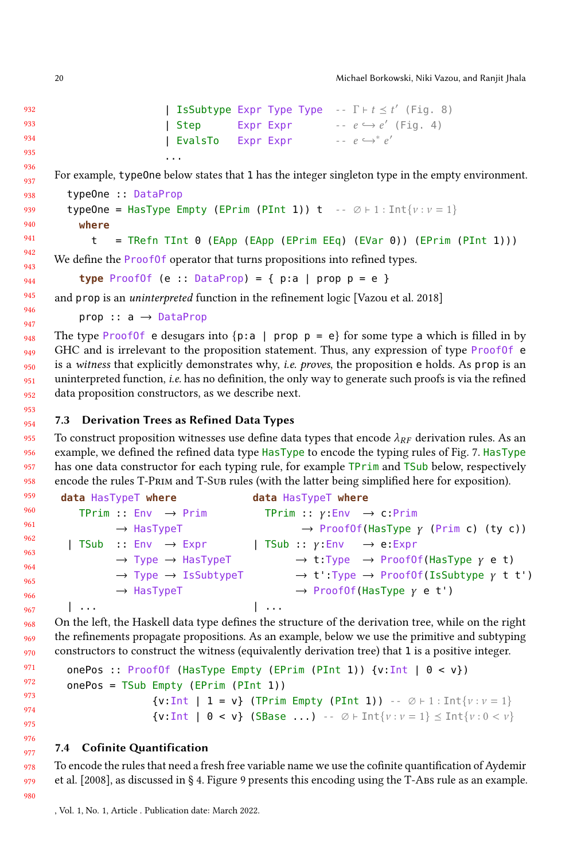20 Michael Borkowski, Niki Vazou, and Ranjit Jhala

```
| IsSubtype Expr Type Type -- \Gamma \vdash t \leq t' 8)
| Step      Expr Expr<br>| EvalsTo   Expr Expr
                                       -e \hookrightarrow e' 4)
              Expr Expr
                                                  e
′
```
For example, typeOne below states that 1 has the integer singleton type in the empty environment.

```
typeOne :: DataProp
```
...

```
typeOne = HasType Empty (EPrim (PInt 1)) t -- \emptyset + 1 : Int{v : v = 1}
  where
```

```
t = TRefn Tint 0 (EApp (EApp (EPrim EEq) (EVar 0)) (EPrim (PInt 1)))
```
We define the **ProofOf** operator that turns propositions into refined types.

**type** ProofOf  $(e :: DataProp) = \{ p:a | prop p = e \}$ 

and prop is an uninterpreted function in the refinement logic [\[Vazou et al. 2018\]](#page-26-2)

prop :: a → DataProp

948 949 950 951 952 The type Proof of e desugars into  $\{p: a \mid prop \ p = e\}$  for some type a which is filled in by GHC and is irrelevant to the proposition statement. Thus, any expression of type ProofOf e is a witness that explicitly demonstrates why, *i.e. proves*, the proposition e holds. As prop is an uninterpreted function, i.e. has no definition, the only way to generate such proofs is via the refined data proposition constructors, as we describe next.

<span id="page-19-0"></span>954 7.3 Derivation Trees as Refined Data Types

955 956 957 958 To construct proposition witnesses use define data types that encode  $\lambda_{RF}$  derivation rules. As an example, we defined the refined data type HasType to encode the typing rules of Fig. [7.](#page-11-0) HasType has one data constructor for each typing rule, for example TPrim and TSub below, respectively encode the rules T-Prim and T-Sub rules (with the latter being simplified here for exposition).

```
data HasTypeT where
    TPrim : Env \rightarrow Prim→ HasTypeT
 | TSub :: Env \rightarrow Expr
            \rightarrow Type \rightarrow HasTypeT
            \rightarrow Type \rightarrow IsSubtypeT
            → HasTypeT
 | ...
                                            data HasTypeT where
                                              TPrim :: y:Env \rightarrow c:Prim\rightarrow ProofOf(HasType \gamma (Prim c) (ty c))
                                            | TSub :: \gamma:Env \rightarrow e:Expr
                                                     \rightarrow t:Type \rightarrow ProofOf(HasType y e t)
                                                     \rightarrow t':Type \rightarrow ProofOf(IsSubtype \gamma t t')
                                                     \rightarrow ProofOf(HasType \gamma e t')
                                            | ...
```
On the left, the Haskell data type defines the structure of the derivation tree, while on the right the refinements propagate propositions. As an example, below we use the primitive and subtyping constructors to construct the witness (equivalently derivation tree) that 1 is a positive integer.

```
onePos :: ProofOf (HasType Empty (EPrim (PInt 1)) \{v: Int \mid 0 \lt v\})
onePos = TSub Empty (EPrim (PInt 1))
                  \{v: Int \mid 1 = v\} (TPrim Empty (PInt 1)) -- \emptyset \vdash 1 : Int\{v : v = 1\}\{v: Int \mid 0 < v\} (SBase ...) -- \emptyset \vdash Int\{v : v = 1\} \leq Int\{v : 0 < v\}
```
## <span id="page-19-1"></span>7.4 Cofinite Quantification

To encode the rules that need a fresh free variable name we use the cofinite quantification of [Aydemir](#page-25-11) [et al.](#page-25-11) [\[2008\]](#page-25-11), as discussed in § [4.](#page-8-0) Figure [9](#page-20-0) presents this encoding using the T-Abs rule as an example.

953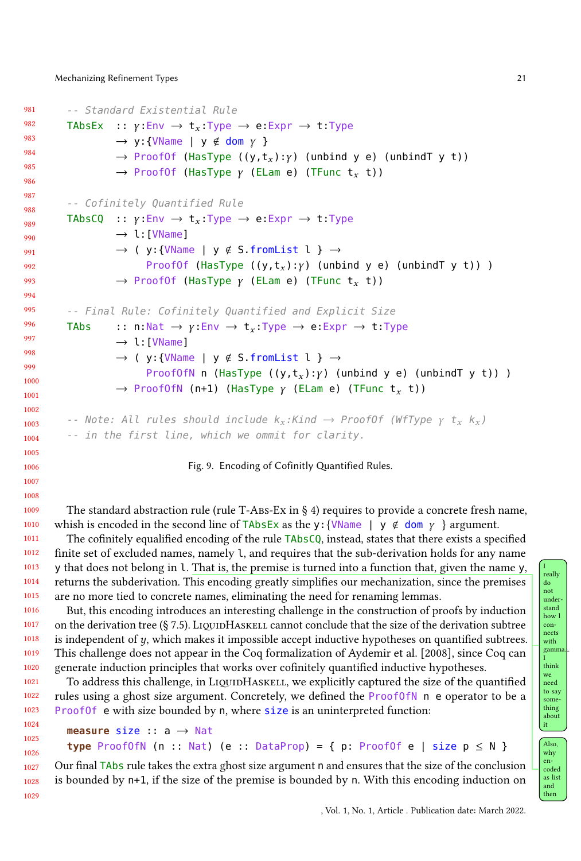```
981
982
983
984
985
986
987
988
989
990
991
992
993
994
995
996
997
998
999
1000
1001
1002
1003
1004
          -- Standard Existential Rule
          TAbsEx :: \gamma: Env \rightarrow t<sub>x</sub>: Type \rightarrow e: Expr \rightarrow t: Type
                     \rightarrow y:{VName | y \notin dom y }
                     \rightarrow ProofOf (HasType ((y,t<sub>x</sub>):γ) (unbind y e) (unbindT y t))
                     \rightarrow ProofOf (HasType γ (ELam e) (TFunc t<sub>r</sub> t))
          -- Cofinitely Quantified Rule
          TAbsCQ :: \gamma:Env \rightarrow t_x. Type \rightarrow e: Expr \rightarrow t: Type
                     \rightarrow l: [VName]
                     \rightarrow ( y:{VName | y \notin S.fromList l } \rightarrowProofOf (HasType ((y,t<sub>x</sub>):\gamma) (unbind y e) (unbindT y t)) )
                     \rightarrow ProofOf (HasType \gamma (ELam e) (TFunc t<sub>x</sub> t))
          -- Final Rule: Cofinitely Quantified and Explicit Size
          TAbs :: n:Nat \rightarrow y:Env \rightarrow t<sub>x</sub>:Type \rightarrow e:Expr \rightarrow t:Type
                     \rightarrow l: [VName]
                     \rightarrow ( y:{VName | y \notin S.fromList l } \rightarrowProofOfN n (HasType ((y,t_x):y) (unbind y e) (unbindT y t)) )
                     \rightarrow ProofOfN (n+1) (HasType \gamma (ELam e) (TFunc t_x t))
          -- Note: All rules should include k_x:Kind \rightarrow ProofOf (WfType \gamma t_x k_x)
          -- in the first line, which we ommit for clarity.
```
Fig. 9. Encoding of Cofinitly Quantified Rules.

The standard abstraction rule (rule T-Abs-Ex in  $\S$  [4\)](#page-8-0) requires to provide a concrete fresh name, whish is encoded in the second line of TAbsEx as the y: {VName |  $y \notin \text{dom } y$  } argument.

The cofinitely equalified encoding of the rule TAbsCQ, instead, states that there exists a specified finite set of excluded names, namely l, and requires that the sub-derivation holds for any name y that does not belong in l. That is, the premise is turned into a function that, given the name y, returns the subderivation. This encoding greatly simplifies our mechanization, since the premises are no more tied to concrete names, eliminating the need for renaming lemmas.

1016 1017 1018 1019 1020 1021 But, this encoding introduces an interesting challenge in the construction of proofs by induction on the derivation tree  $(\S 7.5)$  $(\S 7.5)$ . LiquidHaskell cannot conclude that the size of the derivation subtree is independent of  $y$ , which makes it impossible accept inductive hypotheses on quantified subtrees. This challenge does not appear in the Coq formalization of [Aydemir et al.](#page-25-11) [\[2008\]](#page-25-11), since Coq can generate induction principles that works over cofinitely quantified inductive hypotheses.

To address this challenge, in LiquidHaskell, we explicitly captured the size of the quantified rules using a ghost size argument. Concretely, we defined the ProofOfN n e operator to be a Proof Of e with size bounded by n, where size is an uninterpreted function:

```
measure size :: a → Nat
type ProofOfN (n :: Nat) (e :: DataProp) = { p: ProofOf e | size p \le N }
```
Our final TAbs rule takes the extra ghost size argument n and ensures that the size of the conclusion is bounded by n+1, if the size of the premise is bounded by n. With this encoding induction on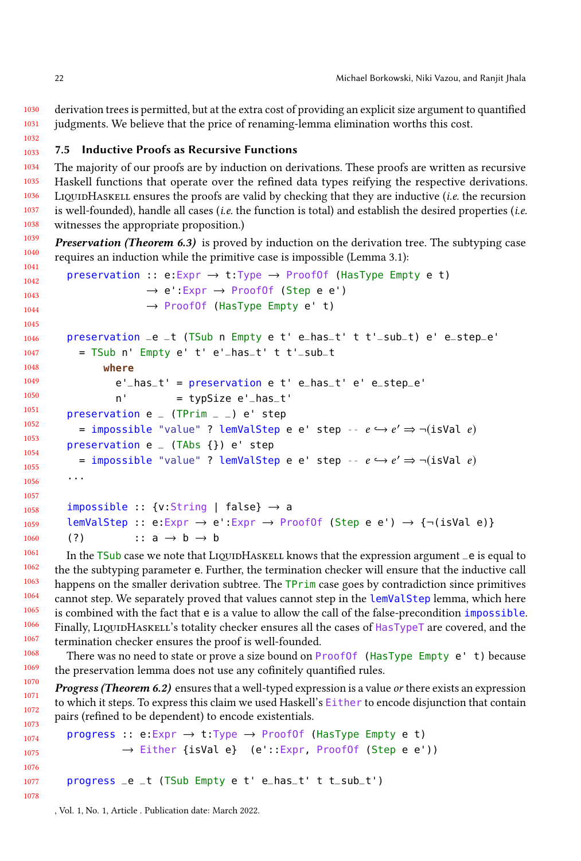1030 1031 derivation trees is permitted, but at the extra cost of providing an explicit size argument to quantified judgments. We believe that the price of renaming-lemma elimination worths this cost.

#### <span id="page-21-0"></span>1033 7.5 Inductive Proofs as Recursive Functions

1034 1035 1036 1037 1038 The majority of our proofs are by induction on derivations. These proofs are written as recursive Haskell functions that operate over the refined data types reifying the respective derivations. LIQUIDHASKELL ensures the proofs are valid by checking that they are inductive (*i.e.* the recursion is well-founded), handle all cases (*i.e.* the function is total) and establish the desired properties (*i.e.* witnesses the appropriate proposition.)

1039 1040 1041 **Preservation (Theorem [6.3\)](#page-15-6)** is proved by induction on the derivation tree. The subtyping case requires an induction while the primitive case is impossible (Lemma [3.1\)](#page-8-2):

```
1042
1043
1044
1045
1046
1047
1048
1049
1050
1051
1052
1053
1054
1055
1056
1057
1058
1059
1060
1061
         preservation :: e:Expr \rightarrow t:Type \rightarrow ProofOf (HasType Empty e t)
                          \rightarrow e':Expr \rightarrow ProofOf (Step e e')
                          \rightarrow ProofOf (HasType Empty e' t)
         preservation _e _t (TSub n Empty e t' e_has_t' t t'_sub_t) e' e_step_e'
           = TSub n' Empty e' t' e'_has_t' t t'_sub_t
                where
                   e'_has_t' = preservation e t' e_has_t' e' e_step_e'
                   n' = typSize e'_has_t'
         preservation e (TPrim - ) e' step
            = impossible "value" ? lemValStep e e' step -- e \hookrightarrow e' \Rightarrow \neg (\text{isVal } e)preservation e _ (TAbs {}) e' step
            = impossible "value" ? lemValStep e e' step -- e \hookrightarrow e' \Rightarrow \neg (\text{isVal } e)...
         impossible :: \{v:String \mid false\} \rightarrow alemValStep :: e:Expr \rightarrow e':Expr \rightarrow Proof0f (Step e e') \rightarrow {¬(isVal e)}
         (?) :: a \rightarrow b \rightarrow b
```
In the  $\overline{TSub}$  case we note that LIQUIDHASKELL knows that the expression argument  $\overline{\ }$  e is equal to the the subtyping parameter e. Further, the termination checker will ensure that the inductive call happens on the smaller derivation subtree. The TPrim case goes by contradiction since primitives cannot step. We separately proved that values cannot step in the lemValStep lemma, which here is combined with the fact that e is a value to allow the call of the false-precondition impossible. Finally, LiquidHaskell's totality checker ensures all the cases of HasTypeT are covered, and the termination checker ensures the proof is well-founded.

There was no need to state or prove a size bound on Proof 0 (HasType Empty e' t) because the preservation lemma does not use any cofinitely quantified rules.

**Progress (Theorem [6.2\)](#page-15-5)** ensures that a well-typed expression is a value or there exists an expression to which it steps. To express this claim we used Haskell's Either to encode disjunction that contain pairs (refined to be dependent) to encode existentials.

```
1074
1075
1076
1077
1078
       progress :: e:Expr → t:Type → ProofOf (HasType Empty e t)
                → Either {isVal e} (e'::Expr, ProofOf (Step e e'))
       progress _e _t (TSub Empty e t' e_has_t' t t_sub_t')
```
, Vol. 1, No. 1, Article . Publication date: March 2022.

1032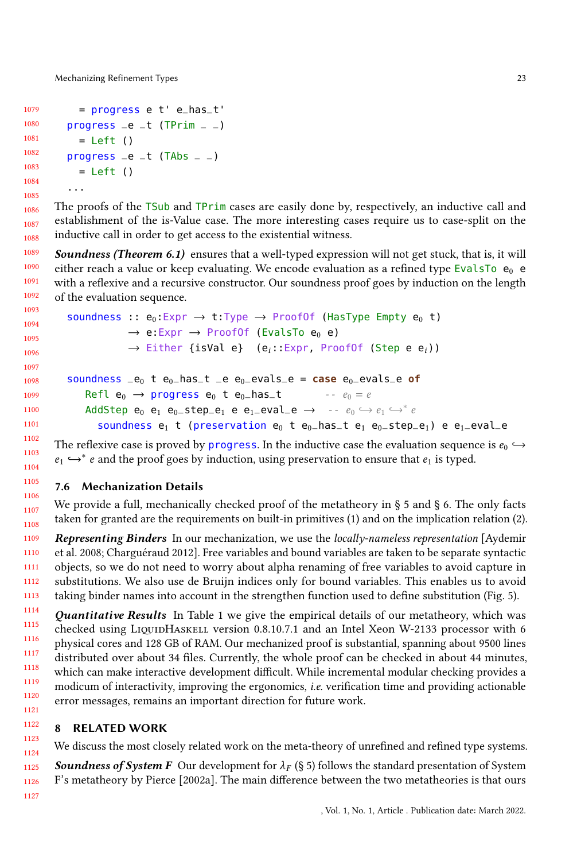Mechanizing Refinement Types 23

```
1079
1080
1081
1082
1083
1084
1085
          = progress e t' e_has_t'
        progress _e _t (TPrim _e)
          = Left ()
        progress _e _t (TAbs _e)
          = Left ()
        ...
```
1086 1087 1088 The proofs of the TSub and TPrim cases are easily done by, respectively, an inductive call and establishment of the is-Value case. The more interesting cases require us to case-split on the inductive call in order to get access to the existential witness.

1089 1090 1091 1092 Soundness (Theorem [6.1\)](#page-15-7) ensures that a well-typed expression will not get stuck, that is, it will either reach a value or keep evaluating. We encode evaluation as a refined type EvalsTo  $e_0$  e with a reflexive and a recursive constructor. Our soundness proof goes by induction on the length of the evaluation sequence.

```
1094
1095
1096
1097
1098
1099
1100
1101
          soundness :: e_0:Expr \rightarrow t:Type \rightarrow ProofOf (HasType Empty e_0 t)
                         \rightarrow e:Expr \rightarrow ProofOf (EvalsTo e<sub>0</sub> e)
                         \rightarrow Either {isVal e} (e<sub>i</sub>::Expr, ProofOf (Step e e<sub>i</sub>))
           soundness _e0 t e_0_has_t _e e_0_evals_e = case e_0_evals_e of
               Refl e_0 \rightarrow progress e_0 t e_0-has-t
                                                                          - - e_0 = eAddStep e_0 e_1 e_0-step<sub>-</sub>e_1 e e_1-eval<sub>-</sub>e \rightarrow -- e_0 \hookrightarrow e_1 \hookrightarrow^* e_1soundness e_1 t (preservation e_0 t e_0-has-t e_1 e_0-step-e_1) e e_1-eval-e
```
The reflexive case is proved by progress. In the inductive case the evaluation sequence is  $e_0 \hookrightarrow$  $e_1$   $\hookrightarrow$ <sup>\*</sup> e and the proof goes by induction, using preservation to ensure that  $e_1$  is typed.

## 7.6 Mechanization Details

1106 1107 1108 We provide a full, mechanically checked proof of the metatheory in § [5](#page-13-0) and § [6.](#page-15-0) The only facts taken for granted are the requirements on built-in primitives [\(1\)](#page-10-1) and on the implication relation [\(2\)](#page-13-1).

1109 1110 1111 1112 1113 Representing Binders In our mechanization, we use the *locally-nameless representation* [\[Aydemir](#page-25-11) [et al.](#page-25-11) [2008;](#page-25-11) [Charguéraud 2012\]](#page-25-21). Free variables and bound variables are taken to be separate syntactic objects, so we do not need to worry about alpha renaming of free variables to avoid capture in substitutions. We also use de Bruijn indices only for bound variables. This enables us to avoid taking binder names into account in the strengthen function used to define substitution (Fig. [5\)](#page-8-1).

1114 1115 1116 1117 1118 1119 1120 1121 Quantitative Results In Table [1](#page-23-0) we give the empirical details of our metatheory, which was checked using LIQUIDHASKELL version 0.8.10.7.1 and an Intel Xeon W-2133 processor with 6 physical cores and 128 GB of RAM. Our mechanized proof is substantial, spanning about 9500 lines distributed over about 34 files. Currently, the whole proof can be checked in about 44 minutes, which can make interactive development difficult. While incremental modular checking provides a modicum of interactivity, improving the ergonomics, i.e. verification time and providing actionable error messages, remains an important direction for future work.

#### 1122 1123 8 RELATED WORK

<span id="page-22-0"></span>We discuss the most closely related work on the meta-theory of unrefined and refined type systems.

1125 1126 **Soundness of System F** Our development for  $\lambda_F$  (§ [5\)](#page-13-0) follows the standard presentation of System F's metatheory by [Pierce](#page-25-9) [\[2002a\]](#page-25-9). The main difference between the two metatheories is that ours

1127

1124

1093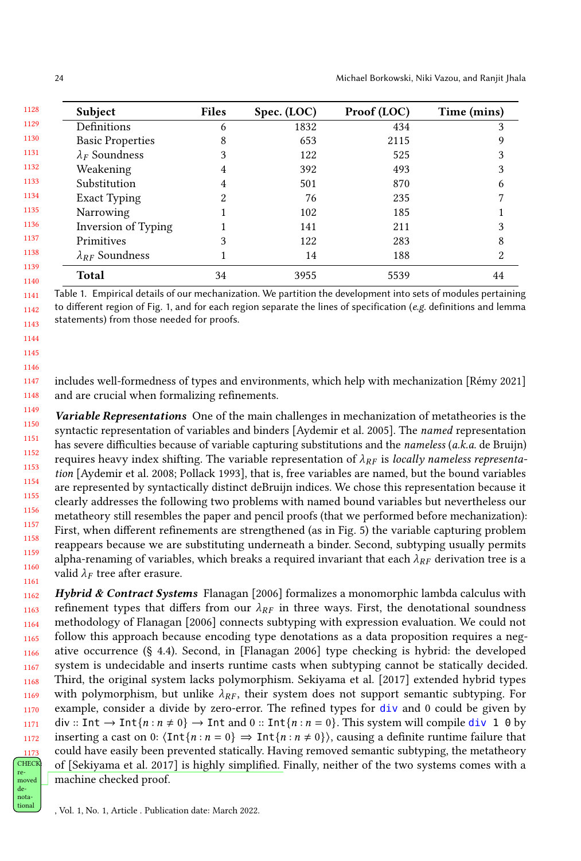<span id="page-23-0"></span>

| Subject                  | <b>Files</b> | Spec. (LOC) | Proof (LOC) | Time (mins) |
|--------------------------|--------------|-------------|-------------|-------------|
| Definitions              | 6            | 1832        | 434         | 3           |
| <b>Basic Properties</b>  | 8            | 653         | 2115        | 9           |
| $\lambda_F$ Soundness    | 3            | 122         | 525         | 3           |
| Weakening                | 4            | 392         | 493         | 3           |
| Substitution             | 4            | 501         | 870         | 6           |
| Exact Typing             | 2            | 76          | 235         |             |
| Narrowing                |              | 102         | 185         |             |
| Inversion of Typing      |              | 141         | 211         |             |
| Primitives               | 3            | 122         | 283         | 8           |
| $\lambda_{RF}$ Soundness |              | 14          | 188         | 2           |
| Total                    | 34           | 3955        | 5539        | 44          |

1141 1142 1143 Table 1. Empirical details of our mechanization. We partition the development into sets of modules pertaining to different region of Fig. [1,](#page-2-0) and for each region separate the lines of specification (e.g. definitions and lemma statements) from those needed for proofs.

1147 1148 includes well-formedness of types and environments, which help with mechanization [\[Rémy 2021\]](#page-25-18) and are crucial when formalizing refinements.

1149 1150 1151 1152 1153 1154 1155 1156 1157 1158 1159 1160 1161 Variable Representations One of the main challenges in mechanization of metatheories is the syntactic representation of variables and binders [\[Aydemir et al.](#page-25-17) [2005\]](#page-25-17). The named representation has severe difficulties because of variable capturing substitutions and the *nameless* (*a.k.a.* de Bruijn) requires heavy index shifting. The variable representation of  $\lambda_{RF}$  is locally nameless representation [\[Aydemir et al.](#page-25-11) [2008;](#page-25-11) [Pollack 1993\]](#page-25-22), that is, free variables are named, but the bound variables are represented by syntactically distinct deBruijn indices. We chose this representation because it clearly addresses the following two problems with named bound variables but nevertheless our metatheory still resembles the paper and pencil proofs (that we performed before mechanization): First, when different refinements are strengthened (as in Fig. [5\)](#page-8-1) the variable capturing problem reappears because we are substituting underneath a binder. Second, subtyping usually permits alpha-renaming of variables, which breaks a required invariant that each  $\lambda_{RF}$  derivation tree is a valid  $\lambda_F$  tree after erasure.

1162 1163 1164 1165 1166 1167 1168 1169 1170 1171 1172 1173 CHECI moved Hybrid & Contract Systems [Flanagan](#page-25-7) [\[2006\]](#page-25-7) formalizes a monomorphic lambda calculus with refinement types that differs from our  $\lambda_{RF}$  in three ways. First, the denotational soundness methodology of [Flanagan](#page-25-7) [\[2006\]](#page-25-7) connects subtyping with expression evaluation. We could not follow this approach because encoding type denotations as a data proposition requires a negative occurrence (§ [4.4\)](#page-13-2). Second, in [\[Flanagan 2006\]](#page-25-7) type checking is hybrid: the developed system is undecidable and inserts runtime casts when subtyping cannot be statically decided. Third, the original system lacks polymorphism. [Sekiyama et al.](#page-25-6) [\[2017\]](#page-25-6) extended hybrid types with polymorphism, but unlike  $\lambda_{RF}$ , their system does not support semantic subtyping. For example, consider a divide by zero-error. The refined types for div and 0 could be given by div :: Int  $\rightarrow$  Int $\{n : n \neq 0\}$   $\rightarrow$  Int and 0 :: Int $\{n : n = 0\}$ . This system will compile div 1 0 by inserting a cast on 0:  $\langle \text{Int}\{n : n = 0\} \Rightarrow \text{Int}\{n : n \neq 0\}\rangle$ , causing a definite runtime failure that could have easily been prevented statically. Having removed semantic subtyping, the metatheory of [\[Sekiyama et al.](#page-25-6) [2017\]](#page-25-6) is highly simplified. Finally, neither of the two systems comes with a remachine checked proof.

1144 1145 1146

nota-

detional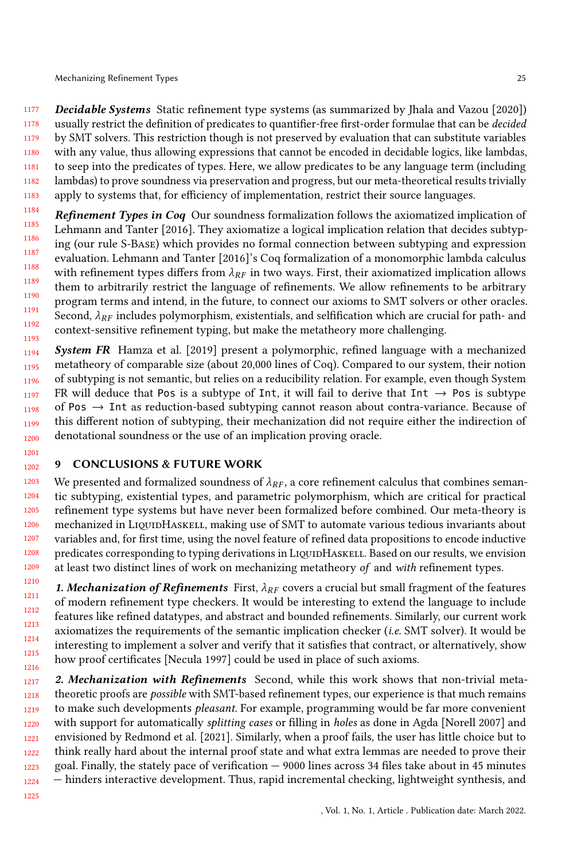1177 1178 1179 1180 1181 1182 1183 Decidable Systems Static refinement type systems (as summarized by [Jhala and Vazou](#page-25-23) [\[2020\]](#page-25-23)) usually restrict the definition of predicates to quantifier-free first-order formulae that can be decided by SMT solvers. This restriction though is not preserved by evaluation that can substitute variables with any value, thus allowing expressions that cannot be encoded in decidable logics, like lambdas, to seep into the predicates of types. Here, we allow predicates to be any language term (including lambdas) to prove soundness via preservation and progress, but our meta-theoretical results trivially apply to systems that, for efficiency of implementation, restrict their source languages.

1184 1185 1186 1187 1188 1189 1190 1191 1192 1193 Refinement Types in Coq Our soundness formalization follows the axiomatized implication of [Lehmann and Tanter](#page-25-20) [\[2016\]](#page-25-20). They axiomatize a logical implication relation that decides subtyping (our rule S-Base) which provides no formal connection between subtyping and expression evaluation. [Lehmann and Tanter](#page-25-20) [\[2016\]](#page-25-20)'s Coq formalization of a monomorphic lambda calculus with refinement types differs from  $\lambda_{RF}$  in two ways. First, their axiomatized implication allows them to arbitrarily restrict the language of refinements. We allow refinements to be arbitrary program terms and intend, in the future, to connect our axioms to SMT solvers or other oracles. Second,  $\lambda_{RF}$  includes polymorphism, existentials, and selfification which are crucial for path- and context-sensitive refinement typing, but make the metatheory more challenging.

1194 1195 1196 1197 1198 1199 1200 System FR [Hamza et al.](#page-25-3) [\[2019\]](#page-25-3) present a polymorphic, refined language with a mechanized metatheory of comparable size (about 20,000 lines of Coq). Compared to our system, their notion of subtyping is not semantic, but relies on a reducibility relation. For example, even though System FR will deduce that Pos is a subtype of Int, it will fail to derive that Int  $\rightarrow$  Pos is subtype of Pos  $\rightarrow$  Int as reduction-based subtyping cannot reason about contra-variance. Because of this different notion of subtyping, their mechanization did not require either the indirection of denotational soundness or the use of an implication proving oracle.

#### 1202 9 CONCLUSIONS & FUTURE WORK

1201

1225

1203 1204 1205 1206 1207 1208 1209 We presented and formalized soundness of  $\lambda_{RF}$ , a core refinement calculus that combines semantic subtyping, existential types, and parametric polymorphism, which are critical for practical refinement type systems but have never been formalized before combined. Our meta-theory is mechanized in LIQUIDHASKELL, making use of SMT to automate various tedious invariants about variables and, for first time, using the novel feature of refined data propositions to encode inductive predicates corresponding to typing derivations in LiquidHaskell. Based on our results, we envision at least two distinct lines of work on mechanizing metatheory of and with refinement types.

1210 1211 1212 1213 1214 1215 1216 **1. Mechanization of Refinements** First,  $\lambda_{RF}$  covers a crucial but small fragment of the features of modern refinement type checkers. It would be interesting to extend the language to include features like refined datatypes, and abstract and bounded refinements. Similarly, our current work axiomatizes the requirements of the semantic implication checker (i.e. SMT solver). It would be interesting to implement a solver and verify that it satisfies that contract, or alternatively, show how proof certificates [\[Necula 1997\]](#page-25-24) could be used in place of such axioms.

1217 1218 1219 1220 1221 1222 1223 1224 2. Mechanization with Refinements Second, while this work shows that non-trivial metatheoretic proofs are possible with SMT-based refinement types, our experience is that much remains to make such developments pleasant. For example, programming would be far more convenient with support for automatically splitting cases or filling in holes as done in Agda [\[Norell 2007\]](#page-25-25) and envisioned by [Redmond et al.](#page-25-26) [\[2021\]](#page-25-26). Similarly, when a proof fails, the user has little choice but to think really hard about the internal proof state and what extra lemmas are needed to prove their goal. Finally, the stately pace of verification — 9000 lines across 34 files take about in 45 minutes — hinders interactive development. Thus, rapid incremental checking, lightweight synthesis, and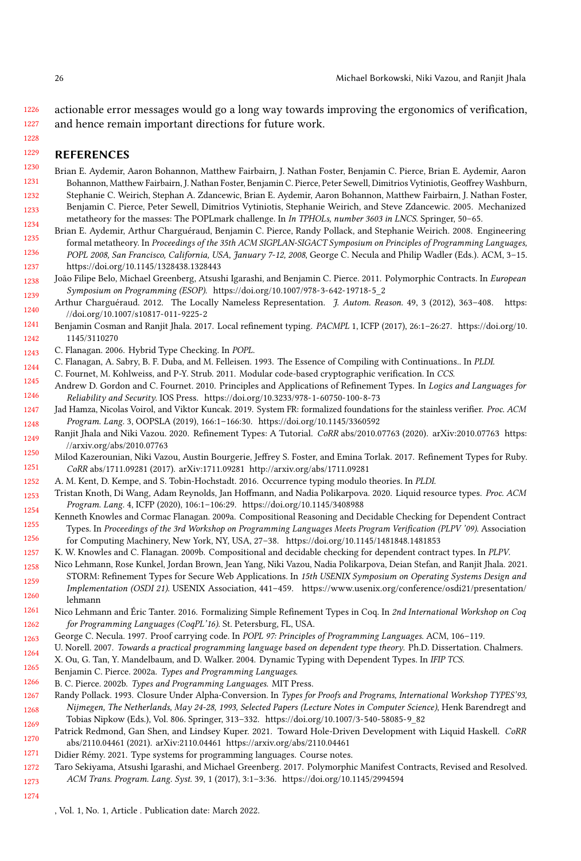1226 1227 actionable error messages would go a long way towards improving the ergonomics of verification, and hence remain important directions for future work.

#### 1229 REFERENCES

- <span id="page-25-17"></span>1230 1231 1232 Brian E. Aydemir, Aaron Bohannon, Matthew Fairbairn, J. Nathan Foster, Benjamin C. Pierce, Brian E. Aydemir, Aaron Bohannon, Matthew Fairbairn, J. Nathan Foster, Benjamin C. Pierce, Peter Sewell, Dimitrios Vytiniotis, Geoffrey Washburn, Stephanie C. Weirich, Stephan A. Zdancewic, Brian E. Aydemir, Aaron Bohannon, Matthew Fairbairn, J. Nathan Foster,
- 1233 1234 Benjamin C. Pierce, Peter Sewell, Dimitrios Vytiniotis, Stephanie Weirich, and Steve Zdancewic. 2005. Mechanized metatheory for the masses: The POPLmark challenge. In In TPHOLs, number 3603 in LNCS. Springer, 50–65.
- <span id="page-25-11"></span>1235 1236 1237 Brian E. Aydemir, Arthur Charguéraud, Benjamin C. Pierce, Randy Pollack, and Stephanie Weirich. 2008. Engineering formal metatheory. In Proceedings of the 35th ACM SIGPLAN-SIGACT Symposium on Principles of Programming Languages, POPL 2008, San Francisco, California, USA, January 7-12, 2008, George C. Necula and Philip Wadler (Eds.). ACM, 3–15. <https://doi.org/10.1145/1328438.1328443>
- <span id="page-25-15"></span>1238 1239 João Filipe Belo, Michael Greenberg, Atsushi Igarashi, and Benjamin C. Pierce. 2011. Polymorphic Contracts. In European Symposium on Programming (ESOP). [https://doi.org/10.1007/978-3-642-19718-5\\_2](https://doi.org/10.1007/978-3-642-19718-5_2)
- <span id="page-25-21"></span>1240 Arthur Charguéraud. 2012. The Locally Nameless Representation. J. Autom. Reason. 49, 3 (2012), 363–408. [https:](https://doi.org/10.1007/s10817-011-9225-2) [//doi.org/10.1007/s10817-011-9225-2](https://doi.org/10.1007/s10817-011-9225-2)
- <span id="page-25-14"></span>1241 1242 Benjamin Cosman and Ranjit Jhala. 2017. Local refinement typing. PACMPL 1, ICFP (2017), 26:1–26:27. [https://doi.org/10.](https://doi.org/10.1145/3110270) [1145/3110270](https://doi.org/10.1145/3110270)
- <span id="page-25-7"></span>1243 C. Flanagan. 2006. Hybrid Type Checking. In POPL.
- <span id="page-25-13"></span>1244 C. Flanagan, A. Sabry, B. F. Duba, and M. Felleisen. 1993. The Essence of Compiling with Continuations.. In PLDI.
- <span id="page-25-0"></span>1245 C. Fournet, M. Kohlweiss, and P-Y. Strub. 2011. Modular code-based cryptographic verification. In CCS.
- <span id="page-25-19"></span>1246 Andrew D. Gordon and C. Fournet. 2010. Principles and Applications of Refinement Types. In Logics and Languages for Reliability and Security. IOS Press.<https://doi.org/10.3233/978-1-60750-100-8-73>
- <span id="page-25-3"></span>1247 1248 Jad Hamza, Nicolas Voirol, and Viktor Kuncak. 2019. System FR: formalized foundations for the stainless verifier. Proc. ACM Program. Lang. 3, OOPSLA (2019), 166:1–166:30.<https://doi.org/10.1145/3360592>
- <span id="page-25-23"></span>1249 Ranjit Jhala and Niki Vazou. 2020. Refinement Types: A Tutorial. CoRR abs/2010.07763 (2020). arXiv:2010.07763 [https:](https://arxiv.org/abs/2010.07763) [//arxiv.org/abs/2010.07763](https://arxiv.org/abs/2010.07763)
- <span id="page-25-5"></span>1250 1251 Milod Kazerounian, Niki Vazou, Austin Bourgerie, Jeffrey S. Foster, and Emina Torlak. 2017. Refinement Types for Ruby. CoRR abs/1711.09281 (2017). arXiv[:1711.09281 http://arxiv.org/abs/1711.09281](http://arxiv.org/abs/1711.09281)
- <span id="page-25-4"></span>1252 A. M. Kent, D. Kempe, and S. Tobin-Hochstadt. 2016. Occurrence typing modulo theories. In PLDI.
- <span id="page-25-1"></span>1253 1254 Tristan Knoth, Di Wang, Adam Reynolds, Jan Hoffmann, and Nadia Polikarpova. 2020. Liquid resource types. Proc. ACM Program. Lang. 4, ICFP (2020), 106:1–106:29.<https://doi.org/10.1145/3408988>
- <span id="page-25-12"></span>1255 1256 Kenneth Knowles and Cormac Flanagan. 2009a. Compositional Reasoning and Decidable Checking for Dependent Contract Types. In Proceedings of the 3rd Workshop on Programming Languages Meets Program Verification (PLPV '09). Association for Computing Machinery, New York, NY, USA, 27–38.<https://doi.org/10.1145/1481848.1481853>
- <span id="page-25-8"></span>1257 K. W. Knowles and C. Flanagan. 2009b. Compositional and decidable checking for dependent contract types. In PLPV.
- <span id="page-25-2"></span>1258 Nico Lehmann, Rose Kunkel, Jordan Brown, Jean Yang, Niki Vazou, Nadia Polikarpova, Deian Stefan, and Ranjit Jhala. 2021.
- 1259 1260 STORM: Refinement Types for Secure Web Applications. In 15th USENIX Symposium on Operating Systems Design and Implementation (OSDI 21). USENIX Association, 441–459. [https://www.usenix.org/conference/osdi21/presentation/](https://www.usenix.org/conference/osdi21/presentation/lehmann) [lehmann](https://www.usenix.org/conference/osdi21/presentation/lehmann)
- <span id="page-25-20"></span>1261 1262 Nico Lehmann and Éric Tanter. 2016. Formalizing Simple Refinement Types in Coq. In 2nd International Workshop on Coq for Programming Languages (CoqPL'16). St. Petersburg, FL, USA.
- <span id="page-25-24"></span>1263 George C. Necula. 1997. Proof carrying code. In POPL 97: Principles of Programming Languages. ACM, 106–119.
- <span id="page-25-25"></span>1264 U. Norell. 2007. Towards a practical programming language based on dependent type theory. Ph.D. Dissertation. Chalmers.
- <span id="page-25-16"></span>1265 X. Ou, G. Tan, Y. Mandelbaum, and D. Walker. 2004. Dynamic Typing with Dependent Types. In IFIP TCS.
- <span id="page-25-9"></span>Benjamin C. Pierce. 2002a. Types and Programming Languages.
- <span id="page-25-10"></span>1266 B. C. Pierce. 2002b. Types and Programming Languages. MIT Press.
- <span id="page-25-22"></span>1267 1268 1269 Randy Pollack. 1993. Closure Under Alpha-Conversion. In Types for Proofs and Programs, International Workshop TYPES'93, Nijmegen, The Netherlands, May 24-28, 1993, Selected Papers (Lecture Notes in Computer Science), Henk Barendregt and Tobias Nipkow (Eds.), Vol. 806. Springer, 313–332. [https://doi.org/10.1007/3-540-58085-9\\_82](https://doi.org/10.1007/3-540-58085-9_82)
- <span id="page-25-26"></span>1270 Patrick Redmond, Gan Shen, and Lindsey Kuper. 2021. Toward Hole-Driven Development with Liquid Haskell. CoRR abs/2110.04461 (2021). arXiv:2110.04461<https://arxiv.org/abs/2110.04461>
- <span id="page-25-18"></span>1271 Didier Rémy. 2021. Type systems for programming languages. Course notes.
- <span id="page-25-6"></span>1272 1273 Taro Sekiyama, Atsushi Igarashi, and Michael Greenberg. 2017. Polymorphic Manifest Contracts, Revised and Resolved. ACM Trans. Program. Lang. Syst. 39, 1 (2017), 3:1–3:36.<https://doi.org/10.1145/2994594>
- 1274